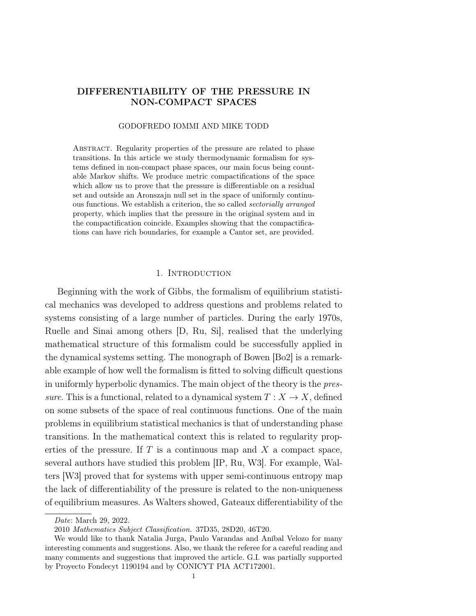# DIFFERENTIABILITY OF THE PRESSURE IN NON-COMPACT SPACES

#### GODOFREDO IOMMI AND MIKE TODD

ABSTRACT. Regularity properties of the pressure are related to phase transitions. In this article we study thermodynamic formalism for systems defined in non-compact phase spaces, our main focus being countable Markov shifts. We produce metric compactifications of the space which allow us to prove that the pressure is differentiable on a residual set and outside an Aronszajn null set in the space of uniformly continuous functions. We establish a criterion, the so called sectorially arranged property, which implies that the pressure in the original system and in the compactification coincide. Examples showing that the compactifications can have rich boundaries, for example a Cantor set, are provided.

### 1. INTRODUCTION

Beginning with the work of Gibbs, the formalism of equilibrium statistical mechanics was developed to address questions and problems related to systems consisting of a large number of particles. During the early 1970s, Ruelle and Sinai among others [D, Ru, Si], realised that the underlying mathematical structure of this formalism could be successfully applied in the dynamical systems setting. The monograph of Bowen [Bo2] is a remarkable example of how well the formalism is fitted to solving difficult questions in uniformly hyperbolic dynamics. The main object of the theory is the pressure. This is a functional, related to a dynamical system  $T : X \to X$ , defined on some subsets of the space of real continuous functions. One of the main problems in equilibrium statistical mechanics is that of understanding phase transitions. In the mathematical context this is related to regularity properties of the pressure. If  $T$  is a continuous map and  $X$  a compact space, several authors have studied this problem [IP, Ru, W3]. For example, Walters [W3] proved that for systems with upper semi-continuous entropy map the lack of differentiability of the pressure is related to the non-uniqueness of equilibrium measures. As Walters showed, Gateaux differentiability of the

Date: March 29, 2022.

<sup>2010</sup> Mathematics Subject Classification. 37D35, 28D20, 46T20.

We would like to thank Natalia Jurga, Paulo Varandas and Aníbal Velozo for many interesting comments and suggestions. Also, we thank the referee for a careful reading and many comments and suggestions that improved the article. G.I. was partially supported by Proyecto Fondecyt 1190194 and by CONICYT PIA ACT172001.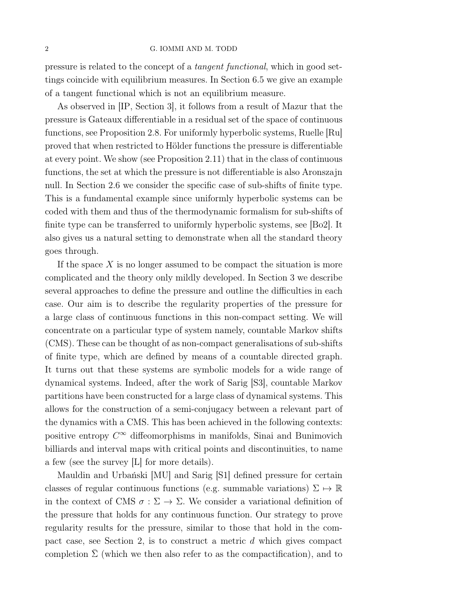### 2 G. IOMMI AND M. TODD

pressure is related to the concept of a tangent functional, which in good settings coincide with equilibrium measures. In Section 6.5 we give an example of a tangent functional which is not an equilibrium measure.

As observed in [IP, Section 3], it follows from a result of Mazur that the pressure is Gateaux differentiable in a residual set of the space of continuous functions, see Proposition 2.8. For uniformly hyperbolic systems, Ruelle [Ru] proved that when restricted to Hölder functions the pressure is differentiable at every point. We show (see Proposition 2.11) that in the class of continuous functions, the set at which the pressure is not differentiable is also Aronszajn null. In Section 2.6 we consider the specific case of sub-shifts of finite type. This is a fundamental example since uniformly hyperbolic systems can be coded with them and thus of the thermodynamic formalism for sub-shifts of finite type can be transferred to uniformly hyperbolic systems, see [Bo2]. It also gives us a natural setting to demonstrate when all the standard theory goes through.

If the space  $X$  is no longer assumed to be compact the situation is more complicated and the theory only mildly developed. In Section 3 we describe several approaches to define the pressure and outline the difficulties in each case. Our aim is to describe the regularity properties of the pressure for a large class of continuous functions in this non-compact setting. We will concentrate on a particular type of system namely, countable Markov shifts (CMS). These can be thought of as non-compact generalisations of sub-shifts of finite type, which are defined by means of a countable directed graph. It turns out that these systems are symbolic models for a wide range of dynamical systems. Indeed, after the work of Sarig [S3], countable Markov partitions have been constructed for a large class of dynamical systems. This allows for the construction of a semi-conjugacy between a relevant part of the dynamics with a CMS. This has been achieved in the following contexts: positive entropy  $C^{\infty}$  diffeomorphisms in manifolds, Sinai and Bunimovich billiards and interval maps with critical points and discontinuities, to name a few (see the survey [L] for more details).

Mauldin and Urbański [MU] and Sarig [S1] defined pressure for certain classes of regular continuous functions (e.g. summable variations)  $\Sigma \mapsto \mathbb{R}$ in the context of CMS  $\sigma : \Sigma \to \Sigma$ . We consider a variational definition of the pressure that holds for any continuous function. Our strategy to prove regularity results for the pressure, similar to those that hold in the compact case, see Section 2, is to construct a metric d which gives compact completion  $\Sigma$  (which we then also refer to as the compactification), and to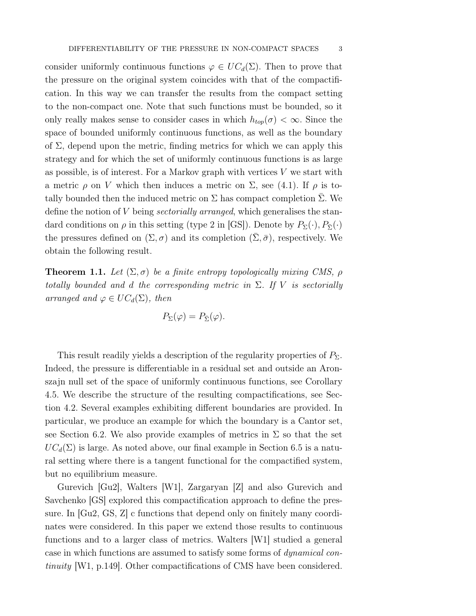consider uniformly continuous functions  $\varphi \in UC_d(\Sigma)$ . Then to prove that the pressure on the original system coincides with that of the compactification. In this way we can transfer the results from the compact setting to the non-compact one. Note that such functions must be bounded, so it only really makes sense to consider cases in which  $h_{top}(\sigma) < \infty$ . Since the space of bounded uniformly continuous functions, as well as the boundary of  $\Sigma$ , depend upon the metric, finding metrics for which we can apply this strategy and for which the set of uniformly continuous functions is as large as possible, is of interest. For a Markov graph with vertices  $V$  we start with a metric  $\rho$  on V which then induces a metric on  $\Sigma$ , see (4.1). If  $\rho$  is totally bounded then the induced metric on  $\Sigma$  has compact completion  $\Sigma$ . We define the notion of V being sectorially arranged, which generalises the standard conditions on  $\rho$  in this setting (type 2 in  $|GS|$ ). Denote by  $P_{\Sigma}(\cdot), P_{\overline{\Sigma}}(\cdot)$ the pressures defined on  $(\Sigma, \sigma)$  and its completion  $(\bar{\Sigma}, \bar{\sigma})$ , respectively. We obtain the following result.

**Theorem 1.1.** Let  $(\Sigma, \sigma)$  be a finite entropy topologically mixing CMS,  $\rho$ totally bounded and d the corresponding metric in  $\Sigma$ . If V is sectorially arranged and  $\varphi \in UC_d(\Sigma)$ , then

$$
P_{\Sigma}(\varphi) = P_{\bar{\Sigma}}(\varphi).
$$

This result readily yields a description of the regularity properties of  $P_{\Sigma}$ . Indeed, the pressure is differentiable in a residual set and outside an Aronszajn null set of the space of uniformly continuous functions, see Corollary 4.5. We describe the structure of the resulting compactifications, see Section 4.2. Several examples exhibiting different boundaries are provided. In particular, we produce an example for which the boundary is a Cantor set, see Section 6.2. We also provide examples of metrics in  $\Sigma$  so that the set  $UC_d(\Sigma)$  is large. As noted above, our final example in Section 6.5 is a natural setting where there is a tangent functional for the compactified system, but no equilibrium measure.

Gurevich [Gu2], Walters [W1], Zargaryan [Z] and also Gurevich and Savchenko [GS] explored this compactification approach to define the pressure. In [Gu2, GS, Z] c functions that depend only on finitely many coordinates were considered. In this paper we extend those results to continuous functions and to a larger class of metrics. Walters [W1] studied a general case in which functions are assumed to satisfy some forms of dynamical continuity [W1, p.149]. Other compactifications of CMS have been considered.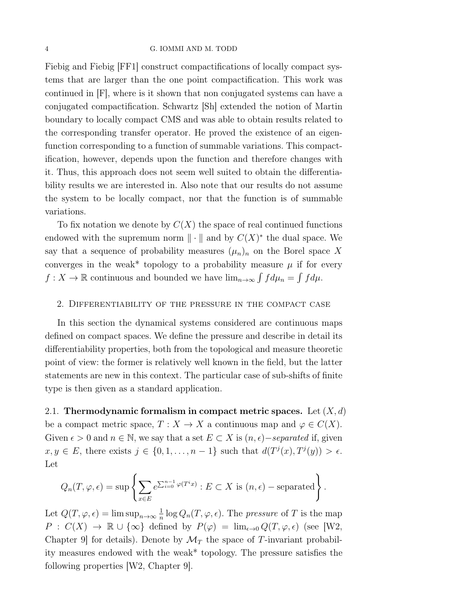#### 4 G. IOMMI AND M. TODD

Fiebig and Fiebig [FF1] construct compactifications of locally compact systems that are larger than the one point compactification. This work was continued in [F], where is it shown that non conjugated systems can have a conjugated compactification. Schwartz [Sh] extended the notion of Martin boundary to locally compact CMS and was able to obtain results related to the corresponding transfer operator. He proved the existence of an eigenfunction corresponding to a function of summable variations. This compactification, however, depends upon the function and therefore changes with it. Thus, this approach does not seem well suited to obtain the differentiability results we are interested in. Also note that our results do not assume the system to be locally compact, nor that the function is of summable variations.

To fix notation we denote by  $C(X)$  the space of real continued functions endowed with the supremum norm  $\|\cdot\|$  and by  $C(X)^*$  the dual space. We say that a sequence of probability measures  $(\mu_n)_n$  on the Borel space X converges in the weak\* topology to a probability measure  $\mu$  if for every  $f: X \to \mathbb{R}$  continuous and bounded we have  $\lim_{n\to\infty} \int f d\mu_n = \int f d\mu$ .

### 2. Differentiability of the pressure in the compact case

In this section the dynamical systems considered are continuous maps defined on compact spaces. We define the pressure and describe in detail its differentiability properties, both from the topological and measure theoretic point of view: the former is relatively well known in the field, but the latter statements are new in this context. The particular case of sub-shifts of finite type is then given as a standard application.

2.1. Thermodynamic formalism in compact metric spaces. Let  $(X, d)$ be a compact metric space,  $T : X \to X$  a continuous map and  $\varphi \in C(X)$ . Given  $\epsilon > 0$  and  $n \in \mathbb{N}$ , we say that a set  $E \subset X$  is  $(n, \epsilon)$  –separated if, given  $x, y \in E$ , there exists  $j \in \{0, 1, \ldots, n-1\}$  such that  $d(T^j(x), T^j(y)) > \epsilon$ . Let

$$
Q_n(T, \varphi, \epsilon) = \sup \left\{ \sum_{x \in E} e^{\sum_{i=0}^{n-1} \varphi(T^i x)} : E \subset X \text{ is } (n, \epsilon) - \text{separated} \right\}.
$$

Let  $Q(T, \varphi, \epsilon) = \limsup_{n \to \infty} \frac{1}{n} \log Q_n(T, \varphi, \epsilon)$ . The *pressure* of T is the map  $P: C(X) \to \mathbb{R} \cup {\infty} \text{ defined by } P(\varphi) = \lim_{\epsilon \to 0} Q(T, \varphi, \epsilon)$  (see [W2, Chapter 9 for details). Denote by  $\mathcal{M}_T$  the space of T-invariant probability measures endowed with the weak\* topology. The pressure satisfies the following properties [W2, Chapter 9].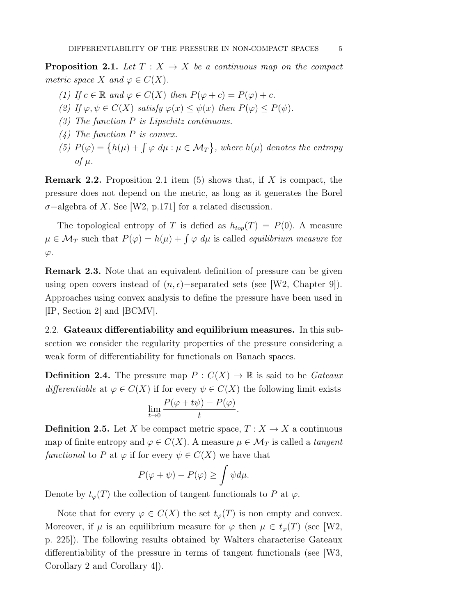**Proposition 2.1.** Let  $T : X \rightarrow X$  be a continuous map on the compact metric space X and  $\varphi \in C(X)$ .

- (1) If  $c \in \mathbb{R}$  and  $\varphi \in C(X)$  then  $P(\varphi + c) = P(\varphi) + c$ .
- (2) If  $\varphi, \psi \in C(X)$  satisfy  $\varphi(x) \leq \psi(x)$  then  $P(\varphi) \leq P(\psi)$ .
- (3) The function P is Lipschitz continuous.
- (4) The function P is convex.
- (5)  $P(\varphi) = \{h(\mu) + \int \varphi \, d\mu : \mu \in \mathcal{M}_T\}$ , where  $h(\mu)$  denotes the entropy of  $\mu$ .

**Remark 2.2.** Proposition 2.1 item (5) shows that, if X is compact, the pressure does not depend on the metric, as long as it generates the Borel  $\sigma$ −algebra of X. See [W2, p.171] for a related discussion.

The topological entropy of T is defied as  $h_{top}(T) = P(0)$ . A measure  $\mu \in \mathcal{M}_T$  such that  $P(\varphi) = h(\mu) + \int \varphi \, d\mu$  is called *equilibrium measure* for  $\varphi$ .

Remark 2.3. Note that an equivalent definition of pressure can be given using open covers instead of  $(n, \epsilon)$ −separated sets (see [W2, Chapter 9]). Approaches using convex analysis to define the pressure have been used in [IP, Section 2] and [BCMV].

2.2. Gateaux differentiability and equilibrium measures. In this subsection we consider the regularity properties of the pressure considering a weak form of differentiability for functionals on Banach spaces.

**Definition 2.4.** The pressure map  $P: C(X) \to \mathbb{R}$  is said to be *Gateaux* differentiable at  $\varphi \in C(X)$  if for every  $\psi \in C(X)$  the following limit exists

$$
\lim_{t\to 0}\frac{P(\varphi+t\psi)-P(\varphi)}{t}.
$$

**Definition 2.5.** Let X be compact metric space,  $T : X \to X$  a continuous map of finite entropy and  $\varphi \in C(X)$ . A measure  $\mu \in \mathcal{M}_T$  is called a tangent functional to P at  $\varphi$  if for every  $\psi \in C(X)$  we have that

$$
P(\varphi + \psi) - P(\varphi) \ge \int \psi d\mu.
$$

Denote by  $t_{\varphi}(T)$  the collection of tangent functionals to P at  $\varphi$ .

Note that for every  $\varphi \in C(X)$  the set  $t_{\varphi}(T)$  is non empty and convex. Moreover, if  $\mu$  is an equilibrium measure for  $\varphi$  then  $\mu \in t_{\varphi}(T)$  (see [W2, p. 225]). The following results obtained by Walters characterise Gateaux differentiability of the pressure in terms of tangent functionals (see [W3, Corollary 2 and Corollary 4]).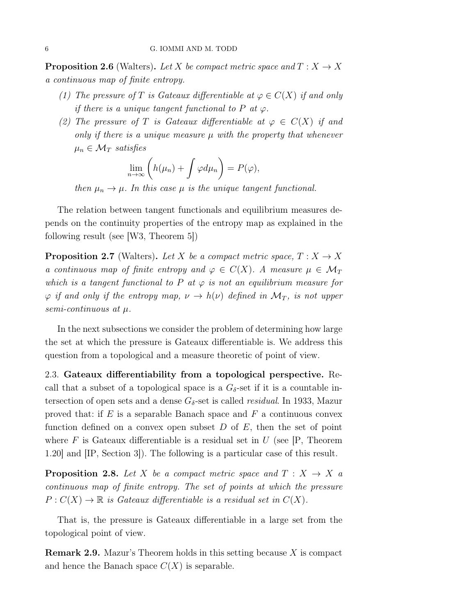**Proposition 2.6** (Walters). Let X be compact metric space and  $T : X \to X$ a continuous map of finite entropy.

- (1) The pressure of T is Gateaux differentiable at  $\varphi \in C(X)$  if and only if there is a unique tangent functional to P at  $\varphi$ .
- (2) The pressure of T is Gateaux differentiable at  $\varphi \in C(X)$  if and only if there is a unique measure  $\mu$  with the property that whenever  $\mu_n \in \mathcal{M}_T$  satisfies

$$
\lim_{n\to\infty}\left(h(\mu_n)+\int\varphi d\mu_n\right)=P(\varphi),
$$

then  $\mu_n \to \mu$ . In this case  $\mu$  is the unique tangent functional.

The relation between tangent functionals and equilibrium measures depends on the continuity properties of the entropy map as explained in the following result (see [W3, Theorem 5])

**Proposition 2.7** (Walters). Let X be a compact metric space,  $T : X \to X$ a continuous map of finite entropy and  $\varphi \in C(X)$ . A measure  $\mu \in \mathcal{M}_T$ which is a tangent functional to P at  $\varphi$  is not an equilibrium measure for  $\varphi$  if and only if the entropy map,  $\nu \to h(\nu)$  defined in  $\mathcal{M}_T$ , is not upper semi-continuous at µ.

In the next subsections we consider the problem of determining how large the set at which the pressure is Gateaux differentiable is. We address this question from a topological and a measure theoretic of point of view.

2.3. Gateaux differentiability from a topological perspective. Recall that a subset of a topological space is a  $G_{\delta}$ -set if it is a countable intersection of open sets and a dense  $G_{\delta}$ -set is called *residual*. In 1933, Mazur proved that: if  $E$  is a separable Banach space and  $F$  a continuous convex function defined on a convex open subset  $D$  of  $E$ , then the set of point where F is Gateaux differentiable is a residual set in U (see  $[P,$  Theorem 1.20] and [IP, Section 3]). The following is a particular case of this result.

**Proposition 2.8.** Let X be a compact metric space and  $T : X \rightarrow X$  a continuous map of finite entropy. The set of points at which the pressure  $P: C(X) \to \mathbb{R}$  is Gateaux differentiable is a residual set in  $C(X)$ .

That is, the pressure is Gateaux differentiable in a large set from the topological point of view.

**Remark 2.9.** Mazur's Theorem holds in this setting because  $X$  is compact and hence the Banach space  $C(X)$  is separable.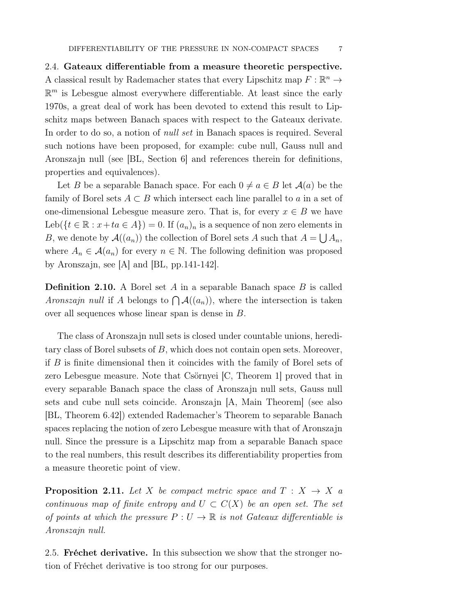2.4. Gateaux differentiable from a measure theoretic perspective. A classical result by Rademacher states that every Lipschitz map  $F : \mathbb{R}^n \to$  $\mathbb{R}^m$  is Lebesgue almost everywhere differentiable. At least since the early 1970s, a great deal of work has been devoted to extend this result to Lipschitz maps between Banach spaces with respect to the Gateaux derivate. In order to do so, a notion of null set in Banach spaces is required. Several such notions have been proposed, for example: cube null, Gauss null and Aronszajn null (see [BL, Section 6] and references therein for definitions, properties and equivalences).

Let B be a separable Banach space. For each  $0 \neq a \in B$  let  $\mathcal{A}(a)$  be the family of Borel sets  $A \subset B$  which intersect each line parallel to a in a set of one-dimensional Lebesgue measure zero. That is, for every  $x \in B$  we have Leb( $\{t \in \mathbb{R} : x + ta \in A\}$ ) = 0. If  $(a_n)_n$  is a sequence of non zero elements in B, we denote by  $\mathcal{A}((a_n))$  the collection of Borel sets A such that  $A = \bigcup A_n$ , where  $A_n \in \mathcal{A}(a_n)$  for every  $n \in \mathbb{N}$ . The following definition was proposed by Aronszajn, see [A] and [BL, pp.141-142].

**Definition 2.10.** A Borel set A in a separable Banach space B is called Aronszajn null if A belongs to  $\bigcap A((a_n))$ , where the intersection is taken over all sequences whose linear span is dense in B.

The class of Aronszajn null sets is closed under countable unions, hereditary class of Borel subsets of B, which does not contain open sets. Moreover, if B is finite dimensional then it coincides with the family of Borel sets of zero Lebesgue measure. Note that Csörnyei [C, Theorem 1] proved that in every separable Banach space the class of Aronszajn null sets, Gauss null sets and cube null sets coincide. Aronszajn [A, Main Theorem] (see also [BL, Theorem 6.42]) extended Rademacher's Theorem to separable Banach spaces replacing the notion of zero Lebesgue measure with that of Aronszajn null. Since the pressure is a Lipschitz map from a separable Banach space to the real numbers, this result describes its differentiability properties from a measure theoretic point of view.

**Proposition 2.11.** Let X be compact metric space and  $T : X \rightarrow X$  a continuous map of finite entropy and  $U \subset C(X)$  be an open set. The set of points at which the pressure  $P: U \to \mathbb{R}$  is not Gateaux differentiable is Aronszajn null.

2.5. Fréchet derivative. In this subsection we show that the stronger notion of Fréchet derivative is too strong for our purposes.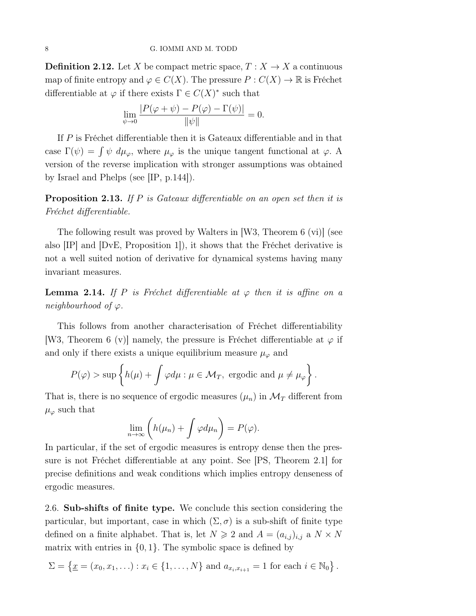**Definition 2.12.** Let X be compact metric space,  $T : X \to X$  a continuous map of finite entropy and  $\varphi \in C(X)$ . The pressure  $P : C(X) \to \mathbb{R}$  is Fréchet differentiable at  $\varphi$  if there exists  $\Gamma \in C(X)^*$  such that

$$
\lim_{\psi \to 0} \frac{|P(\varphi + \psi) - P(\varphi) - \Gamma(\psi)|}{\|\psi\|} = 0.
$$

If P is Fréchet differentiable then it is Gateaux differentiable and in that case  $\Gamma(\psi) = \int \psi \, d\mu_{\varphi}$ , where  $\mu_{\varphi}$  is the unique tangent functional at  $\varphi$ . A version of the reverse implication with stronger assumptions was obtained by Israel and Phelps (see [IP, p.144]).

Proposition 2.13. If P is Gateaux differentiable on an open set then it is Fréchet differentiable.

The following result was proved by Walters in [W3, Theorem 6 (vi)] (see also [IP] and [DvE, Proposition 1]), it shows that the Fréchet derivative is not a well suited notion of derivative for dynamical systems having many invariant measures.

**Lemma 2.14.** If P is Fréchet differentiable at  $\varphi$  then it is affine on a neighbourhood of  $\varphi$ .

This follows from another characterisation of Fréchet differentiability [W3, Theorem 6 (v)] namely, the pressure is Fréchet differentiable at  $\varphi$  if and only if there exists a unique equilibrium measure  $\mu_{\varphi}$  and

$$
P(\varphi) > \sup \left\{ h(\mu) + \int \varphi d\mu : \mu \in \mathcal{M}_T, \text{ ergodic and } \mu \neq \mu_{\varphi} \right\}.
$$

That is, there is no sequence of ergodic measures  $(\mu_n)$  in  $\mathcal{M}_T$  different from  $\mu_{\varphi}$  such that

$$
\lim_{n\to\infty}\left(h(\mu_n)+\int\varphi d\mu_n\right)=P(\varphi).
$$

In particular, if the set of ergodic measures is entropy dense then the pressure is not Fréchet differentiable at any point. See [PS, Theorem 2.1] for precise definitions and weak conditions which implies entropy denseness of ergodic measures.

2.6. Sub-shifts of finite type. We conclude this section considering the particular, but important, case in which  $(\Sigma, \sigma)$  is a sub-shift of finite type defined on a finite alphabet. That is, let  $N \geq 2$  and  $A = (a_{i,j})_{i,j}$  a  $N \times N$ matrix with entries in  $\{0, 1\}$ . The symbolic space is defined by

$$
\Sigma = \{ \underline{x} = (x_0, x_1, \ldots) : x_i \in \{1, \ldots, N\} \text{ and } a_{x_i, x_{i+1}} = 1 \text{ for each } i \in \mathbb{N}_0 \}.
$$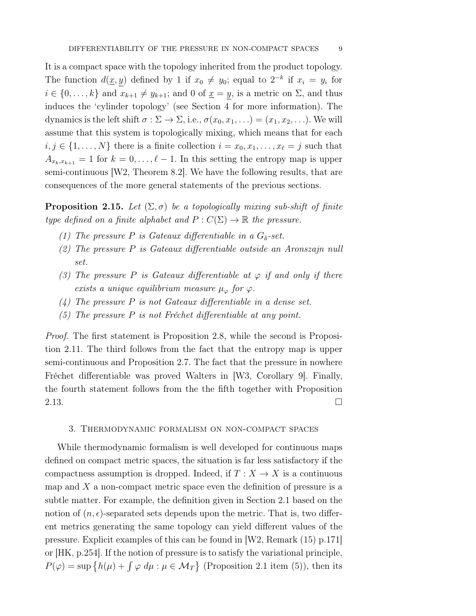It is a compact space with the topology inherited from the product topology. The function  $d(x, y)$  defined by 1 if  $x_0 \neq y_0$ ; equal to  $2^{-k}$  if  $x_i = y_i$  for  $i \in \{0, \ldots, k\}$  and  $x_{k+1} \neq y_{k+1}$ ; and 0 of  $\underline{x} = y$ , is a metric on  $\Sigma$ , and thus induces the 'cylinder topology' (see Section 4 for more information). The dynamics is the left shift  $\sigma : \Sigma \to \Sigma$ , i.e.,  $\sigma(x_0, x_1, ...) = (x_1, x_2, ...)$ . We will assume that this system is topologically mixing, which means that for each  $i, j \in \{1, \ldots, N\}$  there is a finite collection  $i = x_0, x_1, \ldots, x_\ell = j$  such that  $A_{x_k,x_{k+1}} = 1$  for  $k = 0, \ldots, \ell - 1$ . In this setting the entropy map is upper semi-continuous [W2, Theorem 8.2]. We have the following results, that are consequences of the more general statements of the previous sections.

**Proposition 2.15.** Let  $(\Sigma, \sigma)$  be a topologically mixing sub-shift of finite type defined on a finite alphabet and  $P: C(\Sigma) \to \mathbb{R}$  the pressure.

- (1) The pressure P is Gateaux differentiable in a  $G_{\delta}$ -set.
- (2) The pressure P is Gateaux differentiable outside an Aronszajn null set.
- (3) The pressure P is Gateaux differentiable at  $\varphi$  if and only if there exists a unique equilibrium measure  $\mu_{\varphi}$  for  $\varphi$ .
- $(4)$  The pressure P is not Gateaux differentiable in a dense set.
- (5) The pressure  $P$  is not Fréchet differentiable at any point.

Proof. The first statement is Proposition 2.8, while the second is Proposition 2.11. The third follows from the fact that the entropy map is upper semi-continuous and Proposition 2.7. The fact that the pressure in nowhere Fréchet differentiable was proved Walters in [W3, Corollary 9]. Finally, the fourth statement follows from the the fifth together with Proposition 2.13.  $\Box$ 

#### 3. Thermodynamic formalism on non-compact spaces

While thermodynamic formalism is well developed for continuous maps defined on compact metric spaces, the situation is far less satisfactory if the compactness assumption is dropped. Indeed, if  $T: X \to X$  is a continuous map and  $X$  a non-compact metric space even the definition of pressure is a subtle matter. For example, the definition given in Section 2.1 based on the notion of  $(n, \epsilon)$ -separated sets depends upon the metric. That is, two different metrics generating the same topology can yield different values of the pressure. Explicit examples of this can be found in [W2, Remark (15) p.171] or [HK, p.254]. If the notion of pressure is to satisfy the variational principle,  $P(\varphi) = \sup \{ h(\mu) + \int \varphi \, d\mu : \mu \in \mathcal{M}_T \}$  (Proposition 2.1 item (5)), then its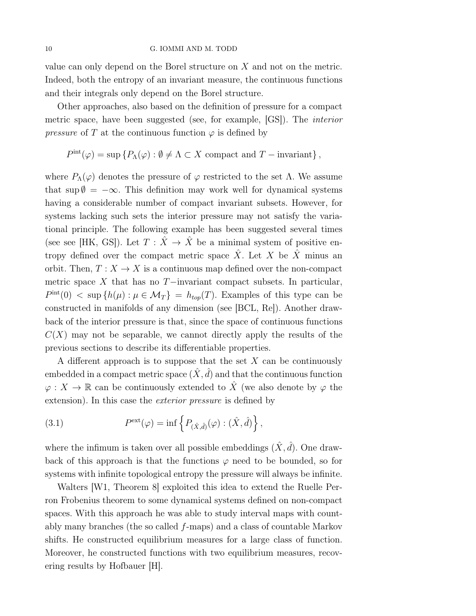value can only depend on the Borel structure on X and not on the metric. Indeed, both the entropy of an invariant measure, the continuous functions and their integrals only depend on the Borel structure.

Other approaches, also based on the definition of pressure for a compact metric space, have been suggested (see, for example, [GS]). The interior *pressure* of T at the continuous function  $\varphi$  is defined by

$$
Pint(\varphi) = \sup \{ P_{\Lambda}(\varphi) : \emptyset \neq \Lambda \subset X \text{ compact and } T-\text{invariant} \},\
$$

where  $P_{\Lambda}(\varphi)$  denotes the pressure of  $\varphi$  restricted to the set  $\Lambda$ . We assume that sup  $\emptyset = -\infty$ . This definition may work well for dynamical systems having a considerable number of compact invariant subsets. However, for systems lacking such sets the interior pressure may not satisfy the variational principle. The following example has been suggested several times (see see [HK, GS]). Let  $T : \hat{X} \to \hat{X}$  be a minimal system of positive entropy defined over the compact metric space  $\hat{X}$ . Let X be  $\hat{X}$  minus an orbit. Then,  $T : X \to X$  is a continuous map defined over the non-compact metric space X that has no  $T$ −invariant compact subsets. In particular,  $P^{\text{int}}(0) < \sup\{h(\mu): \mu \in \mathcal{M}_T\} = h_{top}(T)$ . Examples of this type can be constructed in manifolds of any dimension (see [BCL, Re]). Another drawback of the interior pressure is that, since the space of continuous functions  $C(X)$  may not be separable, we cannot directly apply the results of the previous sections to describe its differentiable properties.

A different approach is to suppose that the set  $X$  can be continuously embedded in a compact metric space  $(\hat{X}, \hat{d})$  and that the continuous function  $\varphi: X \to \mathbb{R}$  can be continuously extended to  $\hat{X}$  (we also denote by  $\varphi$  the extension). In this case the *exterior pressure* is defined by

(3.1) 
$$
P^{\text{ext}}(\varphi) = \inf \left\{ P_{(\hat{X},\hat{d})}(\varphi) : (\hat{X},\hat{d}) \right\},
$$

where the infimum is taken over all possible embeddings  $(\hat{X}, \hat{d})$ . One drawback of this approach is that the functions  $\varphi$  need to be bounded, so for systems with infinite topological entropy the pressure will always be infinite.

Walters [W1, Theorem 8] exploited this idea to extend the Ruelle Perron Frobenius theorem to some dynamical systems defined on non-compact spaces. With this approach he was able to study interval maps with countably many branches (the so called  $f$ -maps) and a class of countable Markov shifts. He constructed equilibrium measures for a large class of function. Moreover, he constructed functions with two equilibrium measures, recovering results by Hofbauer [H].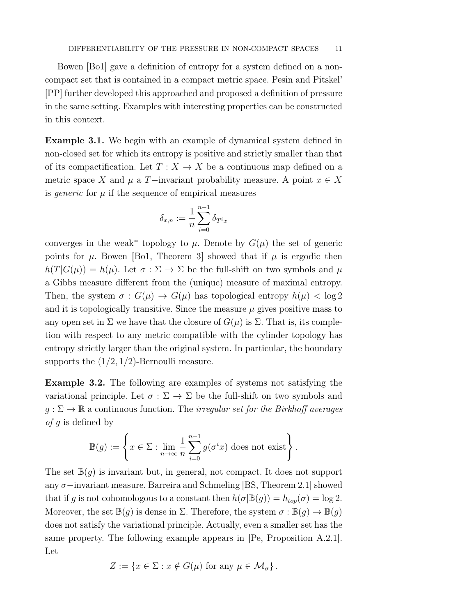Bowen [Bo1] gave a definition of entropy for a system defined on a noncompact set that is contained in a compact metric space. Pesin and Pitskel' [PP] further developed this approached and proposed a definition of pressure in the same setting. Examples with interesting properties can be constructed in this context.

Example 3.1. We begin with an example of dynamical system defined in non-closed set for which its entropy is positive and strictly smaller than that of its compactification. Let  $T : X \to X$  be a continuous map defined on a metric space X and  $\mu$  a T−invariant probability measure. A point  $x \in X$ is *generic* for  $\mu$  if the sequence of empirical measures

$$
\delta_{x,n} := \frac{1}{n} \sum_{i=0}^{n-1} \delta_{T^i x}
$$

converges in the weak\* topology to  $\mu$ . Denote by  $G(\mu)$  the set of generic points for  $\mu$ . Bowen [Bo1, Theorem 3] showed that if  $\mu$  is ergodic then  $h(T|G(\mu)) = h(\mu)$ . Let  $\sigma : \Sigma \to \Sigma$  be the full-shift on two symbols and  $\mu$ a Gibbs measure different from the (unique) measure of maximal entropy. Then, the system  $\sigma : G(\mu) \to G(\mu)$  has topological entropy  $h(\mu) < \log 2$ and it is topologically transitive. Since the measure  $\mu$  gives positive mass to any open set in  $\Sigma$  we have that the closure of  $G(\mu)$  is  $\Sigma$ . That is, its completion with respect to any metric compatible with the cylinder topology has entropy strictly larger than the original system. In particular, the boundary supports the  $(1/2, 1/2)$ -Bernoulli measure.

Example 3.2. The following are examples of systems not satisfying the variational principle. Let  $\sigma : \Sigma \to \Sigma$  be the full-shift on two symbols and  $g: \Sigma \to \mathbb{R}$  a continuous function. The *irregular set for the Birkhoff averages of q* is defined by

$$
\mathbb{B}(g) := \left\{ x \in \Sigma : \lim_{n \to \infty} \frac{1}{n} \sum_{i=0}^{n-1} g(\sigma^i x) \text{ does not exist} \right\}.
$$

The set  $\mathbb{B}(q)$  is invariant but, in general, not compact. It does not support any σ−invariant measure. Barreira and Schmeling [BS, Theorem 2.1] showed that if g is not cohomologous to a constant then  $h(\sigma|\mathbb{B}(g)) = h_{top}(\sigma) = \log 2$ . Moreover, the set  $\mathbb{B}(g)$  is dense in  $\Sigma$ . Therefore, the system  $\sigma : \mathbb{B}(g) \to \mathbb{B}(g)$ does not satisfy the variational principle. Actually, even a smaller set has the same property. The following example appears in [Pe, Proposition A.2.1]. Let

$$
Z := \{ x \in \Sigma : x \notin G(\mu) \text{ for any } \mu \in \mathcal{M}_{\sigma} \}.
$$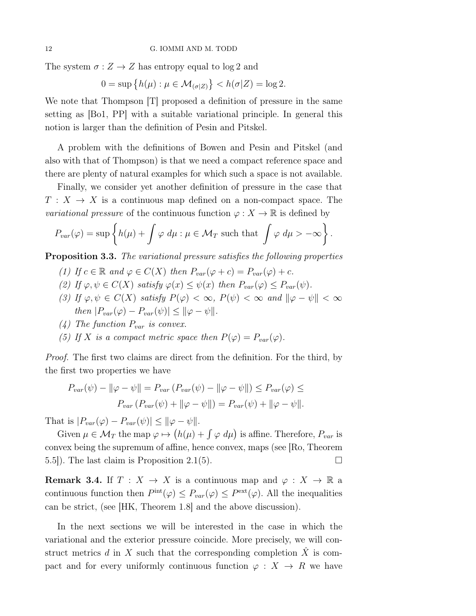The system  $\sigma: Z \to Z$  has entropy equal to log 2 and

$$
0 = \sup \{ h(\mu) : \mu \in \mathcal{M}_{(\sigma|Z)} \} < h(\sigma|Z) = \log 2.
$$

We note that Thompson [T] proposed a definition of pressure in the same setting as [Bo1, PP] with a suitable variational principle. In general this notion is larger than the definition of Pesin and Pitskel.

A problem with the definitions of Bowen and Pesin and Pitskel (and also with that of Thompson) is that we need a compact reference space and there are plenty of natural examples for which such a space is not available.

Finally, we consider yet another definition of pressure in the case that  $T: X \to X$  is a continuous map defined on a non-compact space. The *variational pressure* of the continuous function  $\varphi: X \to \mathbb{R}$  is defined by

$$
P_{var}(\varphi) = \sup \left\{ h(\mu) + \int \varphi \, d\mu : \mu \in \mathcal{M}_T \text{ such that } \int \varphi \, d\mu > -\infty \right\}.
$$

**Proposition 3.3.** The variational pressure satisfies the following properties

- (1) If  $c \in \mathbb{R}$  and  $\varphi \in C(X)$  then  $P_{var}(\varphi + c) = P_{var}(\varphi) + c$ .
- (2) If  $\varphi, \psi \in C(X)$  satisfy  $\varphi(x) \leq \psi(x)$  then  $P_{var}(\varphi) \leq P_{var}(\psi)$ .
- (3) If  $\varphi, \psi \in C(X)$  satisfy  $P(\varphi) < \infty$ ,  $P(\psi) < \infty$  and  $\|\varphi \psi\| < \infty$ then  $|P_{var}(\varphi) - P_{var}(\psi)| \leq ||\varphi - \psi||$ .
- (4) The function  $P_{var}$  is convex.
- (5) If X is a compact metric space then  $P(\varphi) = P_{var}(\varphi)$ .

*Proof.* The first two claims are direct from the definition. For the third, by the first two properties we have

$$
P_{var}(\psi) - ||\varphi - \psi|| = P_{var}(P_{var}(\psi) - ||\varphi - \psi||) \le P_{var}(\varphi) \le
$$

$$
P_{var}(P_{var}(\psi) + ||\varphi - \psi||) = P_{var}(\psi) + ||\varphi - \psi||.
$$

That is  $|P_{var}(\varphi) - P_{var}(\psi)| \leq ||\varphi - \psi||$ .

Given  $\mu \in \mathcal{M}_T$  the map  $\varphi \mapsto (h(\mu) + \int \varphi \, d\mu)$  is affine. Therefore,  $P_{var}$  is convex being the supremum of affine, hence convex, maps (see [Ro, Theorem 5.5]). The last claim is Proposition 2.1(5).

**Remark 3.4.** If  $T : X \to X$  is a continuous map and  $\varphi : X \to \mathbb{R}$  a continuous function then  $P^{\text{int}}(\varphi) \leq P_{var}(\varphi) \leq P^{\text{ext}}(\varphi)$ . All the inequalities can be strict, (see [HK, Theorem 1.8] and the above discussion).

In the next sections we will be interested in the case in which the variational and the exterior pressure coincide. More precisely, we will construct metrics d in X such that the corresponding completion  $\hat{X}$  is compact and for every uniformly continuous function  $\varphi : X \to R$  we have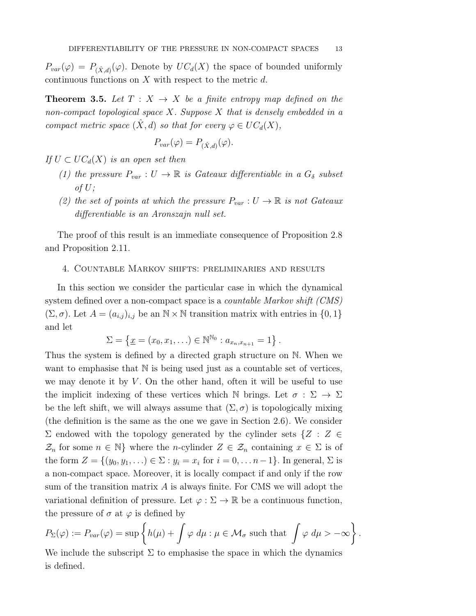$P_{var}(\varphi) = P_{(\hat{X},d)}(\varphi)$ . Denote by  $UC_d(X)$  the space of bounded uniformly continuous functions on  $X$  with respect to the metric  $d$ .

**Theorem 3.5.** Let  $T : X \rightarrow X$  be a finite entropy map defined on the non-compact topological space  $X$ . Suppose  $X$  that is densely embedded in a compact metric space  $(\hat{X}, d)$  so that for every  $\varphi \in UC_d(X)$ ,

$$
P_{var}(\varphi) = P_{(\hat{X},d)}(\varphi).
$$

If  $U \subset UC_d(X)$  is an open set then

- (1) the pressure  $P_{var}: U \to \mathbb{R}$  is Gateaux differentiable in a  $G_{\delta}$  subset of  $U$ ;
- (2) the set of points at which the pressure  $P_{var}: U \to \mathbb{R}$  is not Gateaux differentiable is an Aronszajn null set.

The proof of this result is an immediate consequence of Proposition 2.8 and Proposition 2.11.

### 4. Countable Markov shifts: preliminaries and results

In this section we consider the particular case in which the dynamical system defined over a non-compact space is a *countable Markov shift (CMS)*  $(\Sigma, \sigma)$ . Let  $A = (a_{i,j})_{i,j}$  be an  $\mathbb{N} \times \mathbb{N}$  transition matrix with entries in  $\{0, 1\}$ and let

$$
\Sigma = \{ \underline{x} = (x_0, x_1, \ldots) \in \mathbb{N}^{\mathbb{N}_0} : a_{x_n, x_{n+1}} = 1 \}.
$$

Thus the system is defined by a directed graph structure on N. When we want to emphasise that  $\mathbb N$  is being used just as a countable set of vertices, we may denote it by  $V$ . On the other hand, often it will be useful to use the implicit indexing of these vertices which N brings. Let  $\sigma : \Sigma \to \Sigma$ be the left shift, we will always assume that  $(\Sigma, \sigma)$  is topologically mixing (the definition is the same as the one we gave in Section 2.6). We consider  $\Sigma$  endowed with the topology generated by the cylinder sets  $\{Z : Z \in \mathcal{Z} \}$  $\mathcal{Z}_n$  for some  $n \in \mathbb{N}$  where the *n*-cylinder  $Z \in \mathcal{Z}_n$  containing  $x \in \Sigma$  is of the form  $Z = \{(y_0, y_1, \ldots) \in \Sigma : y_i = x_i \text{ for } i = 0, \ldots n-1\}$ . In general,  $\Sigma$  is a non-compact space. Moreover, it is locally compact if and only if the row sum of the transition matrix  $A$  is always finite. For CMS we will adopt the variational definition of pressure. Let  $\varphi : \Sigma \to \mathbb{R}$  be a continuous function, the pressure of  $\sigma$  at  $\varphi$  is defined by

$$
P_{\Sigma}(\varphi) := P_{var}(\varphi) = \sup \left\{ h(\mu) + \int \varphi \, d\mu : \mu \in \mathcal{M}_{\sigma} \text{ such that } \int \varphi \, d\mu > -\infty \right\}.
$$

We include the subscript  $\Sigma$  to emphasise the space in which the dynamics is defined.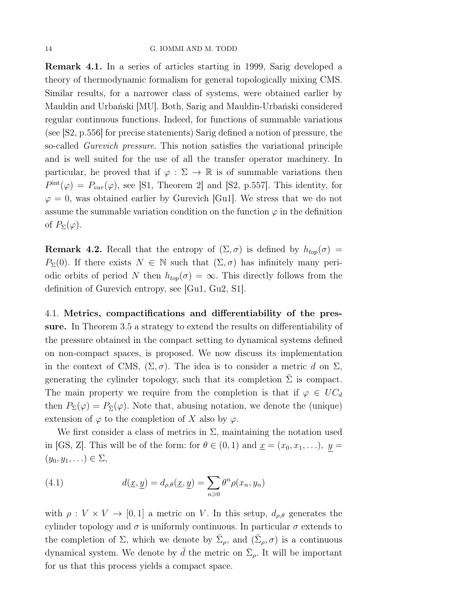Remark 4.1. In a series of articles starting in 1999, Sarig developed a theory of thermodynamic formalism for general topologically mixing CMS. Similar results, for a narrower class of systems, were obtained earlier by Mauldin and Urbański [MU]. Both, Sarig and Mauldin-Urbański considered regular continuous functions. Indeed, for functions of summable variations (see [S2, p.556] for precise statements) Sarig defined a notion of pressure, the so-called Gurevich pressure. This notion satisfies the variational principle and is well suited for the use of all the transfer operator machinery. In particular, he proved that if  $\varphi : \Sigma \to \mathbb{R}$  is of summable variations then  $P<sup>int</sup>(\varphi) = P<sub>var</sub>(\varphi)$ , see [S1, Theorem 2] and [S2, p.557]. This identity, for  $\varphi = 0$ , was obtained earlier by Gurevich [Gu1]. We stress that we do not assume the summable variation condition on the function  $\varphi$  in the definition of  $P_{\Sigma}(\varphi)$ .

**Remark 4.2.** Recall that the entropy of  $(\Sigma, \sigma)$  is defined by  $h_{top}(\sigma)$  =  $P_{\Sigma}(0)$ . If there exists  $N \in \mathbb{N}$  such that  $(\Sigma, \sigma)$  has infinitely many periodic orbits of period N then  $h_{top}(\sigma) = \infty$ . This directly follows from the definition of Gurevich entropy, see [Gu1, Gu2, S1].

4.1. Metrics, compactifications and differentiability of the pressure. In Theorem 3.5 a strategy to extend the results on differentiability of the pressure obtained in the compact setting to dynamical systems defined on non-compact spaces, is proposed. We now discuss its implementation in the context of CMS,  $(\Sigma, \sigma)$ . The idea is to consider a metric d on  $\Sigma$ , generating the cylinder topology, such that its completion  $\Sigma$  is compact. The main property we require from the completion is that if  $\varphi \in UC_d$ then  $P_{\Sigma}(\varphi) = P_{\bar{\Sigma}}(\varphi)$ . Note that, abusing notation, we denote the (unique) extension of  $\varphi$  to the completion of X also by  $\varphi$ .

We first consider a class of metrics in  $\Sigma$ , maintaining the notation used in [GS, Z]. This will be of the form: for  $\theta \in (0,1)$  and  $\underline{x} = (x_0, x_1, \ldots), \underline{y} =$  $(y_0, y_1, \ldots) \in \Sigma$ ,

(4.1) 
$$
d(\underline{x}, \underline{y}) = d_{\rho, \theta}(\underline{x}, \underline{y}) = \sum_{n \ge 0} \theta^n \rho(x_n, y_n)
$$

with  $\rho: V \times V \to [0, 1]$  a metric on V. In this setup,  $d_{\rho,\theta}$  generates the cylinder topology and  $\sigma$  is uniformly continuous. In particular  $\sigma$  extends to the completion of  $\Sigma$ , which we denote by  $\bar{\Sigma}_{\rho}$ , and  $(\bar{\Sigma}_{\rho}, \sigma)$  is a continuous dynamical system. We denote by  $\bar{d}$  the metric on  $\bar{\Sigma}_{\rho}$ . It will be important for us that this process yields a compact space.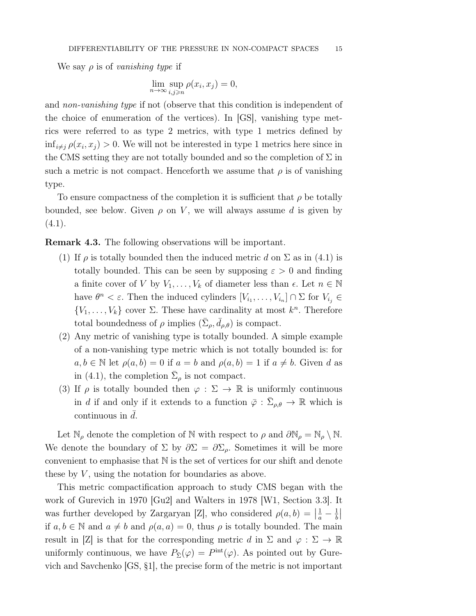We say  $\rho$  is of vanishing type if

$$
\lim_{n \to \infty} \sup_{i,j \geqslant n} \rho(x_i, x_j) = 0,
$$

and non-vanishing type if not (observe that this condition is independent of the choice of enumeration of the vertices). In [GS], vanishing type metrics were referred to as type 2 metrics, with type 1 metrics defined by  $\inf_{i \neq j} \rho(x_i, x_j) > 0$ . We will not be interested in type 1 metrics here since in the CMS setting they are not totally bounded and so the completion of  $\Sigma$  in such a metric is not compact. Henceforth we assume that  $\rho$  is of vanishing type.

To ensure compactness of the completion it is sufficient that  $\rho$  be totally bounded, see below. Given  $\rho$  on V, we will always assume d is given by  $(4.1).$ 

Remark 4.3. The following observations will be important.

- (1) If  $\rho$  is totally bounded then the induced metric d on  $\Sigma$  as in (4.1) is totally bounded. This can be seen by supposing  $\varepsilon > 0$  and finding a finite cover of V by  $V_1, \ldots, V_k$  of diameter less than  $\epsilon$ . Let  $n \in \mathbb{N}$ have  $\theta^n < \varepsilon$ . Then the induced cylinders  $[V_{i_1}, \ldots, V_{i_n}] \cap \Sigma$  for  $V_{i_j} \in$  ${V_1, \ldots, V_k}$  cover  $\Sigma$ . These have cardinality at most  $k^n$ . Therefore total boundedness of  $\rho$  implies  $(\bar{\Sigma}_{\rho}, \bar{d}_{\rho,\theta})$  is compact.
- (2) Any metric of vanishing type is totally bounded. A simple example of a non-vanishing type metric which is not totally bounded is: for  $a, b \in \mathbb{N}$  let  $\rho(a, b) = 0$  if  $a = b$  and  $\rho(a, b) = 1$  if  $a \neq b$ . Given d as in (4.1), the completion  $\Sigma_{\rho}$  is not compact.
- (3) If  $\rho$  is totally bounded then  $\varphi : \Sigma \to \mathbb{R}$  is uniformly continuous in d if and only if it extends to a function  $\bar{\varphi}: \bar{\Sigma}_{\rho,\theta} \to \mathbb{R}$  which is continuous in  $\bar{d}$ .

Let  $\mathbb{N}_{\rho}$  denote the completion of  $\mathbb N$  with respect to  $\rho$  and  $\partial \mathbb{N}_{\rho} = \mathbb{N}_{\rho} \setminus \mathbb N$ . We denote the boundary of  $\Sigma$  by  $\partial \Sigma = \partial \Sigma_{\rho}$ . Sometimes it will be more convenient to emphasise that  $N$  is the set of vertices for our shift and denote these by  $V$ , using the notation for boundaries as above.

This metric compactification approach to study CMS began with the work of Gurevich in 1970 [Gu2] and Walters in 1978 [W1, Section 3.3]. It was further developed by Zargaryan [Z], who considered  $\rho(a, b) = \left| \frac{1}{a} - \frac{1}{b} \right|$ if  $a, b \in \mathbb{N}$  and  $a \neq b$  and  $\rho(a, a) = 0$ , thus  $\rho$  is totally bounded. The main result in [Z] is that for the corresponding metric d in  $\Sigma$  and  $\varphi : \Sigma \to \mathbb{R}$ uniformly continuous, we have  $P_{\bar{\Sigma}}(\varphi) = P^{\text{int}}(\varphi)$ . As pointed out by Gurevich and Savchenko [GS, §1], the precise form of the metric is not important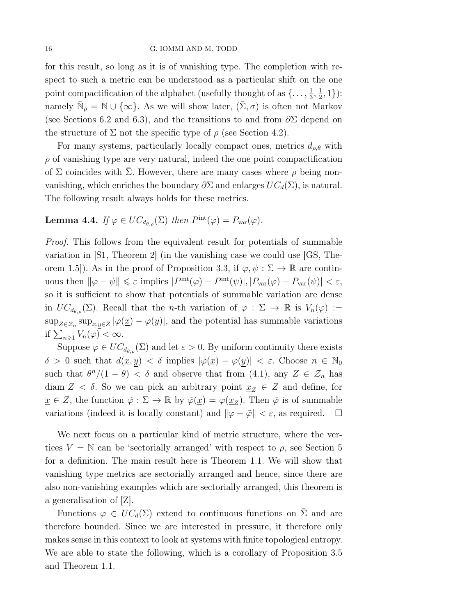for this result, so long as it is of vanishing type. The completion with respect to such a metric can be understood as a particular shift on the one point compactification of the alphabet (usefully thought of as  $\{\ldots, \frac{1}{3}, \frac{1}{2}, 1\}$ ): namely  $\bar{\mathbb{N}}_{\rho} = \mathbb{N} \cup \{\infty\}$ . As we will show later,  $(\bar{\Sigma}, \sigma)$  is often not Markov (see Sections 6.2 and 6.3), and the transitions to and from  $\partial \Sigma$  depend on the structure of  $\Sigma$  not the specific type of  $\rho$  (see Section 4.2).

For many systems, particularly locally compact ones, metrics  $d_{\rho,\theta}$  with  $\rho$  of vanishing type are very natural, indeed the one point compactification of  $\Sigma$  coincides with  $\overline{\Sigma}$ . However, there are many cases where  $\rho$  being nonvanishing, which enriches the boundary  $\partial \Sigma$  and enlarges  $UC_d(\Sigma)$ , is natural. The following result always holds for these metrics.

**Lemma 4.4.** If  $\varphi \in UC_{d_{\theta,\rho}}(\Sigma)$  then  $P^{\text{int}}(\varphi) = P_{\text{var}}(\varphi)$ .

Proof. This follows from the equivalent result for potentials of summable variation in  $\vert S1$ , Theorem 2 (in the vanishing case we could use  $\vert GS$ , Theorem 1.5]). As in the proof of Proposition 3.3, if  $\varphi, \psi : \Sigma \to \mathbb{R}$  are continuous then  $\|\varphi - \psi\| \leq \varepsilon$  implies  $|P^{\text{int}}(\varphi) - P^{\text{int}}(\psi)|, |P_{\text{var}}(\varphi) - P_{\text{var}}(\psi)| < \varepsilon$ , so it is sufficient to show that potentials of summable variation are dense in  $UC_{d_{\theta,\rho}}(\Sigma)$ . Recall that the *n*-th variation of  $\varphi : \Sigma \to \mathbb{R}$  is  $V_n(\varphi) :=$  $\sup_{Z \in \mathcal{Z}_n} \sup_{\underline{x},y \in Z} |\varphi(\underline{x}) - \varphi(\underline{y})|$ , and the potential has summable variations if  $\sum_{n\geqslant 1} V_n(\varphi) < \infty$ .

Suppose  $\varphi \in UC_{d_{\theta,\rho}}(\Sigma)$  and let  $\varepsilon > 0$ . By uniform continuity there exists  $\delta > 0$  such that  $d(\underline{x}, y) < \delta$  implies  $|\varphi(\underline{x}) - \varphi(y)| < \varepsilon$ . Choose  $n \in \mathbb{N}_0$ such that  $\theta^n/(1-\theta) < \delta$  and observe that from (4.1), any  $Z \in \mathcal{Z}_n$  has diam  $Z < \delta$ . So we can pick an arbitrary point  $\underline{x}_Z \in Z$  and define, for  $\underline{x} \in Z$ , the function  $\tilde{\varphi} : \Sigma \to \mathbb{R}$  by  $\tilde{\varphi}(\underline{x}) = \varphi(\underline{x}_Z)$ . Then  $\tilde{\varphi}$  is of summable variations (indeed it is locally constant) and  $\|\varphi - \tilde{\varphi}\| < \varepsilon$ , as required.  $\Box$ 

We next focus on a particular kind of metric structure, where the vertices  $V = N$  can be 'sectorially arranged' with respect to  $\rho$ , see Section 5 for a definition. The main result here is Theorem 1.1. We will show that vanishing type metrics are sectorially arranged and hence, since there are also non-vanishing examples which are sectorially arranged, this theorem is a generalisation of [Z].

Functions  $\varphi \in UC_d(\Sigma)$  extend to continuous functions on  $\overline{\Sigma}$  and are therefore bounded. Since we are interested in pressure, it therefore only makes sense in this context to look at systems with finite topological entropy. We are able to state the following, which is a corollary of Proposition 3.5 and Theorem 1.1.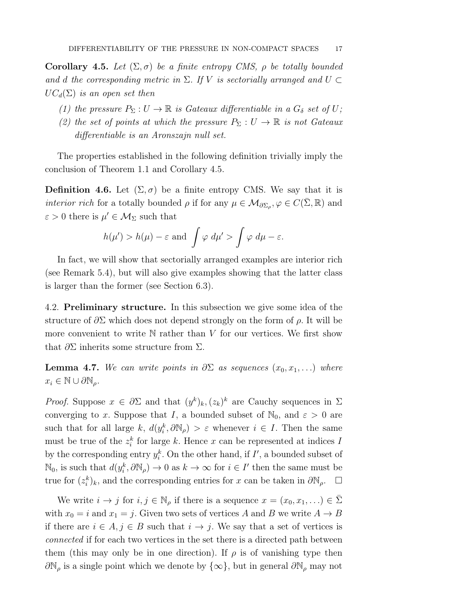**Corollary 4.5.** Let  $(\Sigma, \sigma)$  be a finite entropy CMS,  $\rho$  be totally bounded and d the corresponding metric in  $\Sigma$ . If V is sectorially arranged and  $U \subset$  $UC_d(\Sigma)$  is an open set then

- (1) the pressure  $P_{\Sigma}: U \to \mathbb{R}$  is Gateaux differentiable in a  $G_{\delta}$  set of U;
- (2) the set of points at which the pressure  $P_{\Sigma}: U \to \mathbb{R}$  is not Gateaux differentiable is an Aronszajn null set.

The properties established in the following definition trivially imply the conclusion of Theorem 1.1 and Corollary 4.5.

**Definition 4.6.** Let  $(\Sigma, \sigma)$  be a finite entropy CMS. We say that it is *interior rich* for a totally bounded  $\rho$  if for any  $\mu \in \mathcal{M}_{\partial \Sigma_{\rho}}, \varphi \in C(\bar{\Sigma}, \mathbb{R})$  and  $\varepsilon > 0$  there is  $\mu' \in \mathcal{M}_{\Sigma}$  such that

$$
h(\mu') > h(\mu) - \varepsilon
$$
 and  $\int \varphi \, d\mu' > \int \varphi \, d\mu - \varepsilon$ .

In fact, we will show that sectorially arranged examples are interior rich (see Remark 5.4), but will also give examples showing that the latter class is larger than the former (see Section 6.3).

4.2. Preliminary structure. In this subsection we give some idea of the structure of  $\partial \Sigma$  which does not depend strongly on the form of  $\rho$ . It will be more convenient to write  $N$  rather than V for our vertices. We first show that  $\partial \Sigma$  inherits some structure from  $\Sigma$ .

**Lemma 4.7.** We can write points in  $\partial \Sigma$  as sequences  $(x_0, x_1, \ldots)$  where  $x_i \in \mathbb{N} \cup \partial \mathbb{N}_o$ .

*Proof.* Suppose  $x \in \partial \Sigma$  and that  $(y^k)_k, (z_k)^k$  are Cauchy sequences in  $\Sigma$ converging to x. Suppose that I, a bounded subset of  $\mathbb{N}_0$ , and  $\varepsilon > 0$  are such that for all large k,  $d(y_i^k, \partial \mathbb{N}_{\rho}) > \varepsilon$  whenever  $i \in I$ . Then the same must be true of the  $z_i^k$  for large k. Hence x can be represented at indices I by the corresponding entry  $y_i^k$ . On the other hand, if  $I'$ , a bounded subset of  $\mathbb{N}_0$ , is such that  $d(y_i^k, \partial \mathbb{N}_\rho) \to 0$  as  $k \to \infty$  for  $i \in I'$  then the same must be true for  $(z_i^k)_k$ , and the corresponding entries for x can be taken in  $\partial \mathbb{N}_{\rho}$ .  $\Box$ 

We write  $i \to j$  for  $i, j \in \mathbb{N}_{\rho}$  if there is a sequence  $x = (x_0, x_1, ...) \in \Sigma$ with  $x_0 = i$  and  $x_1 = j$ . Given two sets of vertices A and B we write  $A \rightarrow B$ if there are  $i \in A$ ,  $j \in B$  such that  $i \to j$ . We say that a set of vertices is connected if for each two vertices in the set there is a directed path between them (this may only be in one direction). If  $\rho$  is of vanishing type then  $\partial\mathbb{N}_{\rho}$  is a single point which we denote by  $\{\infty\}$ , but in general  $\partial\mathbb{N}_{\rho}$  may not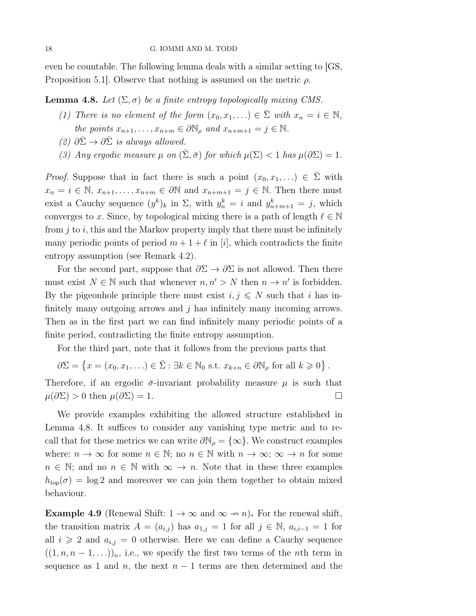even be countable. The following lemma deals with a similar setting to [GS, Proposition 5.1. Observe that nothing is assumed on the metric  $\rho$ .

**Lemma 4.8.** Let  $(\Sigma, \sigma)$  be a finite entropy topologically mixing CMS.

- (1) There is no element of the form  $(x_0, x_1, ...) \in \Sigma$  with  $x_n = i \in \mathbb{N}$ , the points  $x_{n+1}, \ldots, x_{n+m} \in \partial \mathbb{N}_{\rho}$  and  $x_{n+m+1} = j \in \mathbb{N}$ .
- (2)  $\partial \overline{\Sigma} \rightarrow \partial \overline{\Sigma}$  is always allowed.
- (3) Any ergodic measure  $\mu$  on  $(\bar{\Sigma}, \bar{\sigma})$  for which  $\mu(\Sigma) < 1$  has  $\mu(\partial \Sigma) = 1$ .

*Proof.* Suppose that in fact there is such a point  $(x_0, x_1, ...) \in \overline{\Sigma}$  with  $x_n = i \in \mathbb{N}, x_{n+1}, \ldots, x_{n+m} \in \partial \mathbb{N}$  and  $x_{n+m+1} = j \in \mathbb{N}$ . Then there must exist a Cauchy sequence  $(y^k)_k$  in  $\Sigma$ , with  $y_n^k = i$  and  $y_{n+m+1}^k = j$ , which converges to x. Since, by topological mixing there is a path of length  $\ell \in \mathbb{N}$ from  $j$  to  $i$ , this and the Markov property imply that there must be infinitely many periodic points of period  $m + 1 + \ell$  in [i], which contradicts the finite entropy assumption (see Remark 4.2).

For the second part, suppose that  $\partial \Sigma \to \partial \Sigma$  is not allowed. Then there must exist  $N \in \mathbb{N}$  such that whenever  $n, n' > N$  then  $n \to n'$  is forbidden. By the pigeonhole principle there must exist  $i, j \leq N$  such that i has infinitely many outgoing arrows and  $j$  has infinitely many incoming arrows. Then as in the first part we can find infinitely many periodic points of a finite period, contradicting the finite entropy assumption.

For the third part, note that it follows from the previous parts that

 $\partial \Sigma = \left\{ x = (x_0, x_1, \ldots) \in \overline{\Sigma} : \exists k \in \mathbb{N}_0 \text{ s.t. } x_{k+n} \in \partial \mathbb{N}_\rho \text{ for all } k \geqslant 0 \right\}.$ 

Therefore, if an ergodic  $\bar{\sigma}$ -invariant probability measure  $\mu$  is such that  $\mu(\partial \Sigma) > 0$  then  $\mu(\partial \Sigma) = 1$ .

We provide examples exhibiting the allowed structure established in Lemma 4.8. It suffices to consider any vanishing type metric and to recall that for these metrics we can write  $\partial \mathbb{N}_{\rho} = {\infty}$ . We construct examples where:  $n \to \infty$  for some  $n \in \mathbb{N}$ ; no  $n \in \mathbb{N}$  with  $n \to \infty$ ;  $\infty \to n$  for some  $n \in \mathbb{N}$ ; and no  $n \in \mathbb{N}$  with  $\infty \to n$ . Note that in these three examples  $h_{top}(\sigma) = \log 2$  and moreover we can join them together to obtain mixed behaviour.

**Example 4.9** (Renewal Shift:  $1 \rightarrow \infty$  and  $\infty \rightarrow n$ ). For the renewal shift, the transition matrix  $A = (a_{i,j})$  has  $a_{1,j} = 1$  for all  $j \in \mathbb{N}$ ,  $a_{i,i-1} = 1$  for all  $i \geqslant 2$  and  $a_{i,j} = 0$  otherwise. Here we can define a Cauchy sequence  $((1, n, n-1, \ldots))_n$ , i.e., we specify the first two terms of the *n*th term in sequence as 1 and n, the next  $n-1$  terms are then determined and the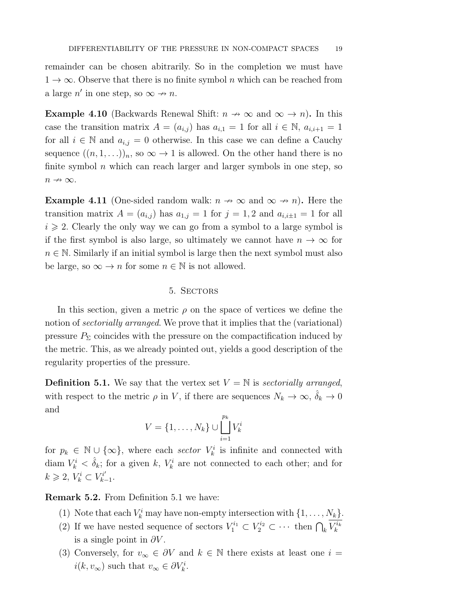remainder can be chosen abitrarily. So in the completion we must have  $1 \rightarrow \infty$ . Observe that there is no finite symbol n which can be reached from a large  $n'$  in one step, so  $\infty \rightarrow n$ .

**Example 4.10** (Backwards Renewal Shift:  $n \to \infty$  and  $\infty \to n$ ). In this case the transition matrix  $A = (a_{i,j})$  has  $a_{i,1} = 1$  for all  $i \in \mathbb{N}$ ,  $a_{i,i+1} = 1$ for all  $i \in \mathbb{N}$  and  $a_{i,j} = 0$  otherwise. In this case we can define a Cauchy sequence  $((n, 1, \ldots))_n$ , so  $\infty \to 1$  is allowed. On the other hand there is no finite symbol  $n$  which can reach larger and larger symbols in one step, so  $n \nrightarrow \infty$ .

**Example 4.11** (One-sided random walk:  $n \to \infty$  and  $\infty \to n$ ). Here the transition matrix  $A = (a_{i,j})$  has  $a_{1,j} = 1$  for  $j = 1, 2$  and  $a_{i,i\pm 1} = 1$  for all  $i \geqslant 2$ . Clearly the only way we can go from a symbol to a large symbol is if the first symbol is also large, so ultimately we cannot have  $n \to \infty$  for  $n \in \mathbb{N}$ . Similarly if an initial symbol is large then the next symbol must also be large, so  $\infty \to n$  for some  $n \in \mathbb{N}$  is not allowed.

## 5. Sectors

In this section, given a metric  $\rho$  on the space of vertices we define the notion of *sectorially arranged*. We prove that it implies that the (variational) pressure  $P_{\Sigma}$  coincides with the pressure on the compactification induced by the metric. This, as we already pointed out, yields a good description of the regularity properties of the pressure.

**Definition 5.1.** We say that the vertex set  $V = N$  is sectorially arranged, with respect to the metric  $\rho$  in V, if there are sequences  $N_k \to \infty$ ,  $\delta_k \to 0$ and

$$
V = \{1, \ldots, N_k\} \cup \bigsqcup_{i=1}^{p_k} V_k^i
$$

for  $p_k \in \mathbb{N} \cup \{\infty\}$ , where each sector  $V_k^i$  is infinite and connected with diam  $V_k^i < \hat{\delta}_k$ ; for a given k,  $V_k^i$  are not connected to each other; and for  $k \ge 2, V_k^i \subset V_{k-1}^{i'}$ .

Remark 5.2. From Definition 5.1 we have:

- (1) Note that each  $V_k^i$  may have non-empty intersection with  $\{1, \ldots, N_k\}$ .
- (2) If we have nested sequence of sectors  $V_1^{i_1} \subset V_2^{i_2} \subset \cdots$  then  $\bigcap_k V_k^{i_k}$ is a single point in  $\partial V$ .
- (3) Conversely, for  $v_{\infty} \in \partial V$  and  $k \in \mathbb{N}$  there exists at least one  $i =$  $i(k, v_{\infty})$  such that  $v_{\infty} \in \partial V_k^i$ .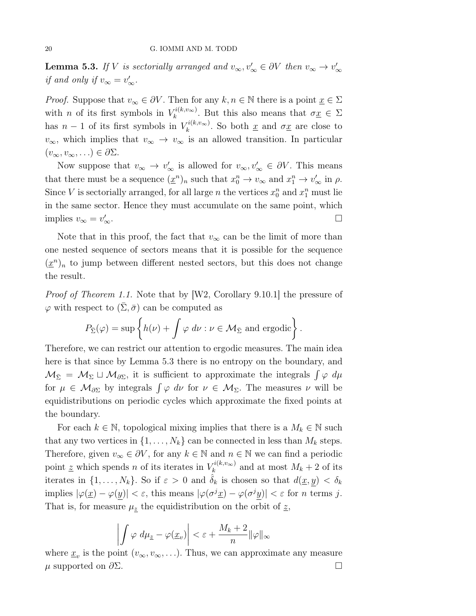**Lemma 5.3.** If V is sectorially arranged and  $v_{\infty}, v'_{\infty} \in \partial V$  then  $v_{\infty} \to v'_{\infty}$ if and only if  $v_{\infty} = v_{\infty}'$ .

*Proof.* Suppose that  $v_{\infty} \in \partial V$ . Then for any  $k, n \in \mathbb{N}$  there is a point  $\underline{x} \in \Sigma$ with *n* of its first symbols in  $V_k^{i(k,v_\infty)}$ . But this also means that  $\sigma \underline{x} \in \Sigma$ has  $n-1$  of its first symbols in  $V_k^{i(k,v_\infty)}$ . So both  $\underline{x}$  and  $\sigma \underline{x}$  are close to  $v_{\infty}$ , which implies that  $v_{\infty} \to v_{\infty}$  is an allowed transition. In particular  $(v_{\infty}, v_{\infty}, ...) \in \partial \Sigma.$ 

Now suppose that  $v_{\infty} \to v_{\infty}'$  is allowed for  $v_{\infty}, v_{\infty}' \in \partial V$ . This means that there must be a sequence  $(\underline{x}^n)_n$  such that  $x_0^n \to v_\infty$  and  $x_1^n \to v'_\infty$  in  $\rho$ . Since V is sectorially arranged, for all large n the vertices  $x_0^n$  and  $x_1^n$  must lie in the same sector. Hence they must accumulate on the same point, which implies  $v_{\infty} = v'_{\infty}$ .  $\sim$  .

Note that in this proof, the fact that  $v_{\infty}$  can be the limit of more than one nested sequence of sectors means that it is possible for the sequence  $(\underline{x}^n)_n$  to jump between different nested sectors, but this does not change the result.

Proof of Theorem 1.1. Note that by [W2, Corollary 9.10.1] the pressure of  $\varphi$  with respect to  $(\bar{\Sigma}, \bar{\sigma})$  can be computed as

$$
P_{\bar{\Sigma}}(\varphi) = \sup \left\{ h(\nu) + \int \varphi \, d\nu : \nu \in \mathcal{M}_{\bar{\Sigma}} \text{ and ergodic} \right\}.
$$

Therefore, we can restrict our attention to ergodic measures. The main idea here is that since by Lemma 5.3 there is no entropy on the boundary, and  $\mathcal{M}_{\bar{\Sigma}} = \mathcal{M}_{\Sigma} \sqcup \mathcal{M}_{\partial \Sigma}$ , it is sufficient to approximate the integrals  $\int \varphi \, d\mu$ for  $\mu \in \mathcal{M}_{\partial \Sigma}$  by integrals  $\int \varphi \, d\nu$  for  $\nu \in \mathcal{M}_{\Sigma}$ . The measures  $\nu$  will be equidistributions on periodic cycles which approximate the fixed points at the boundary.

For each  $k \in \mathbb{N}$ , topological mixing implies that there is a  $M_k \in \mathbb{N}$  such that any two vertices in  $\{1, \ldots, N_k\}$  can be connected in less than  $M_k$  steps. Therefore, given  $v_{\infty} \in \partial V$ , for any  $k \in \mathbb{N}$  and  $n \in \mathbb{N}$  we can find a periodic point  $\underline{z}$  which spends n of its iterates in  $V_k^{i(k,v_\infty)}$  and at most  $M_k + 2$  of its iterates in  $\{1,\ldots,N_k\}$ . So if  $\varepsilon > 0$  and  $\hat{\delta}_k$  is chosen so that  $d(\underline{x},y) < \delta_k$ implies  $|\varphi(\underline{x}) - \varphi(y)| < \varepsilon$ , this means  $|\varphi(\sigma^j \underline{x}) - \varphi(\sigma^j y)| < \varepsilon$  for *n* terms *j*. That is, for measure  $\mu_{\underline{z}}$  the equidistribution on the orbit of  $\underline{z}$ ,

$$
\left|\int \varphi \ d\mu_{\underline{z}} - \varphi(\underline{x}_v)\right| < \varepsilon + \frac{M_k + 2}{n} \|\varphi\|_{\infty}
$$

where  $\underline{x}_v$  is the point  $(v_\infty, v_\infty, \ldots)$ . Thus, we can approximate any measure  $\mu$  supported on  $\partial \Sigma$ .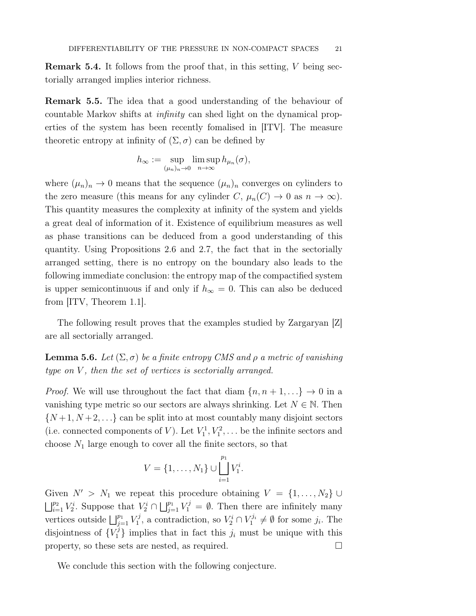Remark 5.4. It follows from the proof that, in this setting, V being sectorially arranged implies interior richness.

Remark 5.5. The idea that a good understanding of the behaviour of countable Markov shifts at infinity can shed light on the dynamical properties of the system has been recently fomalised in [ITV]. The measure theoretic entropy at infinity of  $(\Sigma, \sigma)$  can be defined by

$$
h_{\infty} := \sup_{(\mu_n)_n \to 0} \limsup_{n \to \infty} h_{\mu_n}(\sigma),
$$

where  $(\mu_n)_n \to 0$  means that the sequence  $(\mu_n)_n$  converges on cylinders to the zero measure (this means for any cylinder C,  $\mu_n(C) \to 0$  as  $n \to \infty$ ). This quantity measures the complexity at infinity of the system and yields a great deal of information of it. Existence of equilibrium measures as well as phase transitions can be deduced from a good understanding of this quantity. Using Propositions 2.6 and 2.7, the fact that in the sectorially arranged setting, there is no entropy on the boundary also leads to the following immediate conclusion: the entropy map of the compactified system is upper semicontinuous if and only if  $h_{\infty} = 0$ . This can also be deduced from [ITV, Theorem 1.1].

The following result proves that the examples studied by Zargaryan [Z] are all sectorially arranged.

**Lemma 5.6.** Let  $(\Sigma, \sigma)$  be a finite entropy CMS and  $\rho$  a metric of vanishing type on  $V$ , then the set of vertices is sectorially arranged.

*Proof.* We will use throughout the fact that diam  $\{n, n+1, ...\} \rightarrow 0$  in a vanishing type metric so our sectors are always shrinking. Let  $N \in \mathbb{N}$ . Then  $\{N+1, N+2, \ldots\}$  can be split into at most countably many disjoint sectors (i.e. connected components of V). Let  $V_1^1, V_1^2, \ldots$  be the infinite sectors and choose  $N_1$  large enough to cover all the finite sectors, so that

$$
V = \{1, \ldots, N_1\} \cup \bigsqcup_{i=1}^{p_1} V_1^i.
$$

Given  $N' > N_1$  we repeat this procedure obtaining  $V = \{1, ..., N_2\}$  $\bigsqcup_{i=1}^{p_2} V_2^i$ . Suppose that  $V_2^i \cap \bigsqcup_{j=1}^{p_1} V_1^j = \emptyset$ . Then there are infinitely many vertices outside  $\bigsqcup_{j=1}^{p_1} V_1^j$ , a contradiction, so  $V_2^i \cap V_1^{j_i} \neq \emptyset$  for some  $j_i$ . The disjointness of  ${V_1^j}$  implies that in fact this  $j_i$  must be unique with this property, so these sets are nested, as required.  $\Box$ 

We conclude this section with the following conjecture.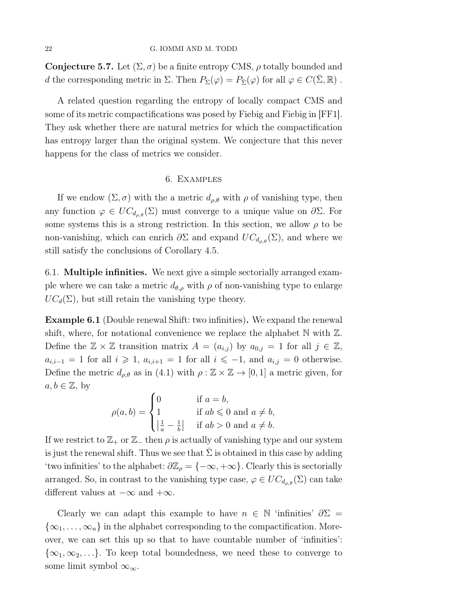**Conjecture 5.7.** Let  $(\Sigma, \sigma)$  be a finite entropy CMS,  $\rho$  totally bounded and d the corresponding metric in  $\Sigma$ . Then  $P_{\Sigma}(\varphi) = P_{\overline{\Sigma}}(\varphi)$  for all  $\varphi \in C(\Sigma, \mathbb{R})$ .

A related question regarding the entropy of locally compact CMS and some of its metric compactifications was posed by Fiebig and Fiebig in [FF1]. They ask whether there are natural metrics for which the compactification has entropy larger than the original system. We conjecture that this never happens for the class of metrics we consider.

# 6. Examples

If we endow  $(\Sigma, \sigma)$  with the a metric  $d_{\rho,\theta}$  with  $\rho$  of vanishing type, then any function  $\varphi \in UC_{d_{\rho,\theta}}(\Sigma)$  must converge to a unique value on  $\partial \Sigma$ . For some systems this is a strong restriction. In this section, we allow  $\rho$  to be non-vanishing, which can enrich  $\partial \Sigma$  and expand  $UC_{d_{\rho,\theta}}(\Sigma)$ , and where we still satisfy the conclusions of Corollary 4.5.

6.1. Multiple infinities. We next give a simple sectorially arranged example where we can take a metric  $d_{\theta,\rho}$  with  $\rho$  of non-vanishing type to enlarge  $UC_d(\Sigma)$ , but still retain the vanishing type theory.

Example 6.1 (Double renewal Shift: two infinities). We expand the renewal shift, where, for notational convenience we replace the alphabet  $\mathbb N$  with  $\mathbb Z$ . Define the  $\mathbb{Z} \times \mathbb{Z}$  transition matrix  $A = (a_{i,j})$  by  $a_{0,j} = 1$  for all  $j \in \mathbb{Z}$ ,  $a_{i,i-1} = 1$  for all  $i \geq 1$ ,  $a_{i,i+1} = 1$  for all  $i \leq -1$ , and  $a_{i,j} = 0$  otherwise. Define the metric  $d_{\rho,\theta}$  as in (4.1) with  $\rho : \mathbb{Z} \times \mathbb{Z} \to [0,1]$  a metric given, for  $a, b \in \mathbb{Z}$ , by

$$
\rho(a,b) = \begin{cases} 0 & \text{if } a = b, \\ 1 & \text{if } ab \leq 0 \text{ and } a \neq b, \\ \left|\frac{1}{a} - \frac{1}{b}\right| & \text{if } ab > 0 \text{ and } a \neq b. \end{cases}
$$

If we restrict to  $\mathbb{Z}_+$  or  $\mathbb{Z}_-$  then  $\rho$  is actually of vanishing type and our system is just the renewal shift. Thus we see that  $\Sigma$  is obtained in this case by adding 'two infinities' to the alphabet:  $\partial \mathbb{Z}_{\rho} = \{-\infty, +\infty\}$ . Clearly this is sectorially arranged. So, in contrast to the vanishing type case,  $\varphi \in UC_{d_{\rho,\theta}}(\Sigma)$  can take different values at  $-\infty$  and  $+\infty$ .

Clearly we can adapt this example to have  $n \in \mathbb{N}$  'infinities'  $\partial \Sigma =$  $\{\infty_1, \ldots, \infty_n\}$  in the alphabet corresponding to the compactification. Moreover, we can set this up so that to have countable number of 'infinities':  $\{\infty_1,\infty_2,\ldots\}$ . To keep total boundedness, we need these to converge to some limit symbol  $\infty_{\infty}$ .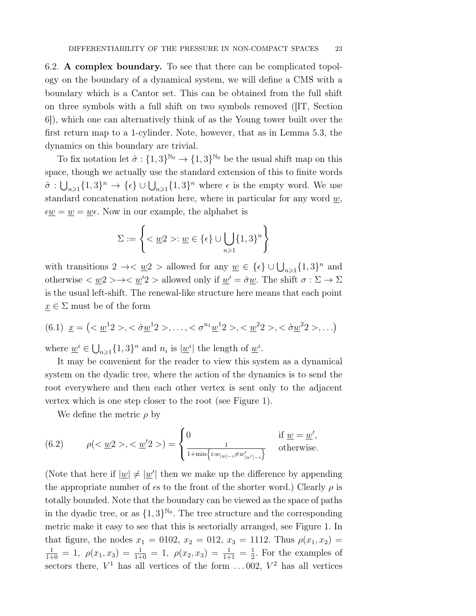6.2. A complex boundary. To see that there can be complicated topology on the boundary of a dynamical system, we will define a CMS with a boundary which is a Cantor set. This can be obtained from the full shift on three symbols with a full shift on two symbols removed ([IT, Section 6]), which one can alternatively think of as the Young tower built over the first return map to a 1-cylinder. Note, however, that as in Lemma 5.3, the dynamics on this boundary are trivial.

To fix notation let  $\hat{\sigma} : \{1,3\}^{\mathbb{N}_0} \to \{1,3\}^{\mathbb{N}_0}$  be the usual shift map on this space, though we actually use the standard extension of this to finite words  $\hat{\sigma}: \bigcup_{n\geqslant1}\{1,3\}^n \to \{\epsilon\}\cup \bigcup_{n\geqslant1}\{1,3\}^n$  where  $\epsilon$  is the empty word. We use standard concatenation notation here, where in particular for any word  $\underline{w}$ ,  $\epsilon \underline{w} = \underline{w} = \underline{w} \epsilon$ . Now in our example, the alphabet is

$$
\Sigma:=\left\{<\underline{w}2>:\underline{w}\in\{\epsilon\}\cup\bigcup_{n\geqslant 1}\{1,3\}^n\right\}
$$

with transitions  $2 \to \infty$   $w2 >$  allowed for any  $w \in {\{\epsilon\}} \cup \bigcup_{n \geq 1} {\{1,3\}}^n$  and otherwise  $\langle w_1 \rangle \to \langle w_2 \rangle$  allowed only if  $w' = \hat{\sigma}w$ . The shift  $\sigma : \Sigma \to \Sigma$ is the usual left-shift. The renewal-like structure here means that each point  $\underline{x} \in \Sigma$  must be of the form

$$
(6.1) \ \ \underline{x} = \left( \langle \underline{w}^1 2 \rangle, \langle \partial \underline{w}^1 2 \rangle, \ldots, \langle \partial^{n_1} \underline{w}^1 2 \rangle, \langle \underline{w}^2 2 \rangle, \langle \partial \underline{w}^2 2 \rangle, \ldots \right)
$$

where  $\underline{w}^i \in \bigcup_{n \geq 1} \{1, 3\}^n$  and  $n_i$  is  $|\underline{w}^i|$  the length of  $\underline{w}^i$ .

It may be convenient for the reader to view this system as a dynamical system on the dyadic tree, where the action of the dynamics is to send the root everywhere and then each other vertex is sent only to the adjacent vertex which is one step closer to the root (see Figure 1).

We define the metric  $\rho$  by

(6.2) 
$$
\rho(<\underline{w}2>, <\underline{w}'2>) = \begin{cases} 0 & \text{if } \underline{w} = \underline{w}', \\ \frac{1}{1 + \min\{i : w_{|\underline{w}|-i} \neq w'_{|\underline{w}'|-i}\}} & \text{otherwise.} \end{cases}
$$

(Note that here if  $|\underline{w}| \neq |\underline{w}'|$  then we make up the difference by appending the appropriate number of  $\epsilon$ s to the front of the shorter word.) Clearly  $\rho$  is totally bounded. Note that the boundary can be viewed as the space of paths in the dyadic tree, or as  $\{1,3\}^{\mathbb{N}_0}$ . The tree structure and the corresponding metric make it easy to see that this is sectorially arranged, see Figure 1. In that figure, the nodes  $x_1 = 0102$ ,  $x_2 = 012$ ,  $x_3 = 1112$ . Thus  $\rho(x_1, x_2) =$  $\frac{1}{1+0} = 1$ ,  $\rho(x_1, x_3) = \frac{1}{1+0} = 1$ ,  $\rho(x_2, x_3) = \frac{1}{1+1} = \frac{1}{2}$ . For the examples of sectors there,  $V^1$  has all vertices of the form ... 002,  $V^2$  has all vertices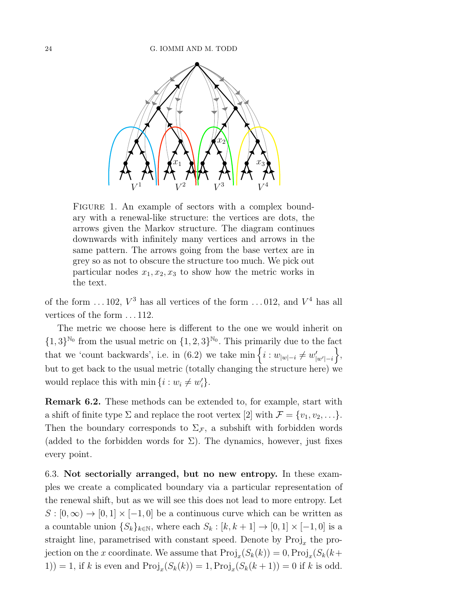

FIGURE 1. An example of sectors with a complex boundary with a renewal-like structure: the vertices are dots, the arrows given the Markov structure. The diagram continues downwards with infinitely many vertices and arrows in the same pattern. The arrows going from the base vertex are in grey so as not to obscure the structure too much. We pick out particular nodes  $x_1, x_2, x_3$  to show how the metric works in the text.

of the form ... 102,  $V^3$  has all vertices of the form ... 012, and  $V^4$  has all vertices of the form . . . 112.

The metric we choose here is different to the one we would inherit on  $\{1,3\}^{\mathbb{N}_0}$  from the usual metric on  $\{1,2,3\}^{\mathbb{N}_0}$ . This primarily due to the fact that we 'count backwards', i.e. in (6.2) we take  $\min\left\{i : w_{|w|-i} \neq w'_{|w'|-i}\right\}$ / , but to get back to the usual metric (totally changing the structure here) we would replace this with  $\min\{i : w_i \neq w'_i\}.$ 

Remark 6.2. These methods can be extended to, for example, start with a shift of finite type  $\Sigma$  and replace the root vertex [2] with  $\mathcal{F} = \{v_1, v_2, \ldots\}$ . Then the boundary corresponds to  $\Sigma_{\mathcal{F}}$ , a subshift with forbidden words (added to the forbidden words for  $\Sigma$ ). The dynamics, however, just fixes every point.

6.3. Not sectorially arranged, but no new entropy. In these examples we create a complicated boundary via a particular representation of the renewal shift, but as we will see this does not lead to more entropy. Let  $S : [0, \infty) \to [0, 1] \times [-1, 0]$  be a continuous curve which can be written as a countable union  $\{S_k\}_{k\in\mathbb{N}}$ , where each  $S_k : [k, k+1] \to [0, 1] \times [-1, 0]$  is a straight line, parametrised with constant speed. Denote by  $\text{Proj}_x$  the projection on the x coordinate. We assume that  $\text{Proj}_x(S_k(k)) = 0, \text{Proj}_x(S_k(k))$ 1)) = 1, if k is even and  $\text{Proj}_x(S_k(k)) = 1, \text{Proj}_x(S_k(k+1)) = 0$  if k is odd.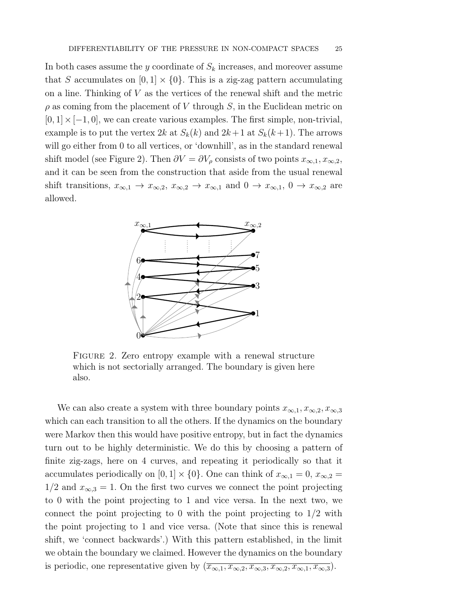In both cases assume the y coordinate of  $S_k$  increases, and moreover assume that S accumulates on  $[0, 1] \times \{0\}$ . This is a zig-zag pattern accumulating on a line. Thinking of  $V$  as the vertices of the renewal shift and the metric  $\rho$  as coming from the placement of V through S, in the Euclidean metric on  $[0, 1] \times [-1, 0]$ , we can create various examples. The first simple, non-trivial, example is to put the vertex  $2k$  at  $S_k(k)$  and  $2k+1$  at  $S_k(k+1)$ . The arrows will go either from 0 to all vertices, or 'downhill', as in the standard renewal shift model (see Figure 2). Then  $\partial V = \partial V_\rho$  consists of two points  $x_{\infty,1}, x_{\infty,2}$ , and it can be seen from the construction that aside from the usual renewal shift transitions,  $x_{\infty,1} \to x_{\infty,2}$ ,  $x_{\infty,2} \to x_{\infty,1}$  and  $0 \to x_{\infty,1}$ ,  $0 \to x_{\infty,2}$  are allowed.



FIGURE 2. Zero entropy example with a renewal structure which is not sectorially arranged. The boundary is given here also.

We can also create a system with three boundary points  $x_{\infty,1}, x_{\infty,2}, x_{\infty,3}$ which can each transition to all the others. If the dynamics on the boundary were Markov then this would have positive entropy, but in fact the dynamics turn out to be highly deterministic. We do this by choosing a pattern of finite zig-zags, here on 4 curves, and repeating it periodically so that it accumulates periodically on [0, 1]  $\times$  {0}. One can think of  $x_{\infty,1} = 0$ ,  $x_{\infty,2} =$  $1/2$  and  $x_{\infty,3} = 1$ . On the first two curves we connect the point projecting to 0 with the point projecting to 1 and vice versa. In the next two, we connect the point projecting to 0 with the point projecting to  $1/2$  with the point projecting to 1 and vice versa. (Note that since this is renewal shift, we 'connect backwards'.) With this pattern established, in the limit we obtain the boundary we claimed. However the dynamics on the boundary is periodic, one representative given by  $(\overline{x_{\infty,1}, x_{\infty,2}, x_{\infty,3}, x_{\infty,2}, x_{\infty,1}, x_{\infty,3}}).$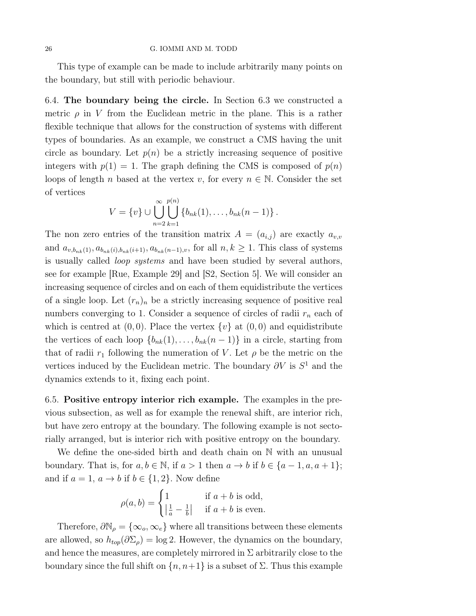This type of example can be made to include arbitrarily many points on the boundary, but still with periodic behaviour.

6.4. The boundary being the circle. In Section 6.3 we constructed a metric  $\rho$  in V from the Euclidean metric in the plane. This is a rather flexible technique that allows for the construction of systems with different types of boundaries. As an example, we construct a CMS having the unit circle as boundary. Let  $p(n)$  be a strictly increasing sequence of positive integers with  $p(1) = 1$ . The graph defining the CMS is composed of  $p(n)$ loops of length n based at the vertex v, for every  $n \in \mathbb{N}$ . Consider the set of vertices

$$
V = \{v\} \cup \bigcup_{n=2}^{\infty} \bigcup_{k=1}^{p(n)} \{b_{nk}(1), \ldots, b_{nk}(n-1)\}.
$$

The non zero entries of the transition matrix  $A = (a_{i,j})$  are exactly  $a_{v,v}$ and  $a_{v,b_{nk}(1)}, a_{b_{nk}(i),b_{nk}(i+1)}, a_{b_{nk}(n-1),v}$ , for all  $n, k \geq 1$ . This class of systems is usually called loop systems and have been studied by several authors, see for example [Rue, Example 29] and [S2, Section 5]. We will consider an increasing sequence of circles and on each of them equidistribute the vertices of a single loop. Let  $(r_n)_n$  be a strictly increasing sequence of positive real numbers converging to 1. Consider a sequence of circles of radii  $r_n$  each of which is centred at  $(0, 0)$ . Place the vertex  $\{v\}$  at  $(0, 0)$  and equidistribute the vertices of each loop  $\{b_{nk}(1), \ldots, b_{nk}(n-1)\}\$  in a circle, starting from that of radii  $r_1$  following the numeration of V. Let  $\rho$  be the metric on the vertices induced by the Euclidean metric. The boundary  $\partial V$  is  $S^1$  and the dynamics extends to it, fixing each point.

6.5. Positive entropy interior rich example. The examples in the previous subsection, as well as for example the renewal shift, are interior rich, but have zero entropy at the boundary. The following example is not sectorially arranged, but is interior rich with positive entropy on the boundary.

We define the one-sided birth and death chain on N with an unusual boundary. That is, for  $a, b \in \mathbb{N}$ , if  $a > 1$  then  $a \to b$  if  $b \in \{a-1, a, a+1\}$ ; and if  $a = 1, a \rightarrow b$  if  $b \in \{1, 2\}$ . Now define

$$
\rho(a,b) = \begin{cases} 1 & \text{if } a+b \text{ is odd,} \\ \left|\frac{1}{a} - \frac{1}{b}\right| & \text{if } a+b \text{ is even.} \end{cases}
$$

Therefore,  $\partial \mathbb{N}_{\rho} = {\infty_o, \infty_e}$  where all transitions between these elements are allowed, so  $h_{top}(\partial \Sigma_{\rho}) = \log 2$ . However, the dynamics on the boundary, and hence the measures, are completely mirrored in  $\Sigma$  arbitrarily close to the boundary since the full shift on  $\{n, n+1\}$  is a subset of  $\Sigma$ . Thus this example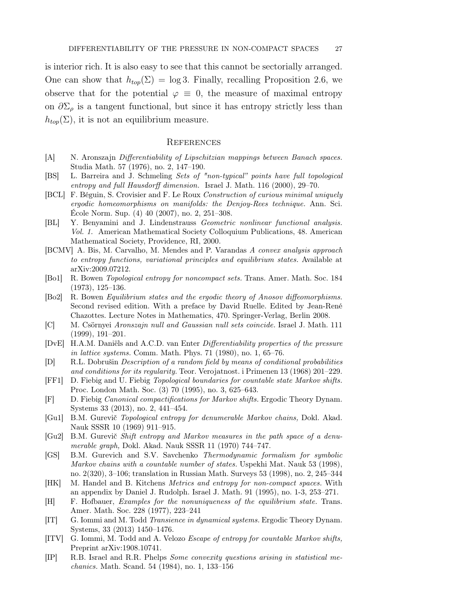is interior rich. It is also easy to see that this cannot be sectorially arranged. One can show that  $h_{top}(\Sigma) = \log 3$ . Finally, recalling Proposition 2.6, we observe that for the potential  $\varphi \equiv 0$ , the measure of maximal entropy on  $\partial \Sigma_{\rho}$  is a tangent functional, but since it has entropy strictly less than  $h_{top}(\Sigma)$ , it is not an equilibrium measure.

### **REFERENCES**

- [A] N. Aronszajn Differentiability of Lipschitzian mappings between Banach spaces. Studia Math. 57 (1976), no. 2, 147–190.
- [BS] L. Barreira and J. Schmeling Sets of "non-typical" points have full topological entropy and full Hausdorff dimension. Israel J. Math. 116 (2000), 29–70.
- [BCL] F. Béguin, S. Crovisier and F. Le Roux Construction of curious minimal uniquely ergodic homeomorphisms on manifolds: the Denjoy-Rees technique. Ann. Sci. École Norm. Sup. (4) 40 (2007), no. 2, 251–308.
- [BL] Y. Benyamini and J. Lindenstrauss Geometric nonlinear functional analysis. Vol. 1. American Mathematical Society Colloquium Publications, 48. American Mathematical Society, Providence, RI, 2000.
- [BCMV] A. Bis, M. Carvalho, M. Mendes and P. Varandas A convex analysis approach to entropy functions, variational principles and equilibrium states. Available at arXiv:2009.07212.
- [Bo1] R. Bowen Topological entropy for noncompact sets. Trans. Amer. Math. Soc. 184 (1973), 125–136.
- [Bo2] R. Bowen Equilibrium states and the ergodic theory of Anosov diffeomorphisms. Second revised edition. With a preface by David Ruelle. Edited by Jean-René Chazottes. Lecture Notes in Mathematics, 470. Springer-Verlag, Berlin 2008.
- [C] M. Csörnyei Aronszajn null and Gaussian null sets coincide. Israel J. Math. 111 (1999), 191–201.
- [DvE] H.A.M. Daniëls and A.C.D. van Enter Differentiability properties of the pressure in lattice systems. Comm. Math. Phys.  $71$  (1980), no. 1, 65–76.
- [D] R.L. Dobrušin Description of a random field by means of conditional probabilities and conditions for its regularity. Teor. Verojatnost. i Primenen 13 (1968) 201–229.
- [FF1] D. Fiebig and U. Fiebig Topological boundaries for countable state Markov shifts. Proc. London Math. Soc. (3) 70 (1995), no. 3, 625–643.
- [F] D. Fiebig Canonical compactifications for Markov shifts. Ergodic Theory Dynam. Systems 33 (2013), no. 2, 441–454.
- [Gu1] B.M. Gurevič Topological entropy for denumerable Markov chains, Dokl. Akad. Nauk SSSR 10 (1969) 911–915.
- [Gu2] B.M. Gurevič Shift entropy and Markov measures in the path space of a denumerable graph, Dokl. Akad. Nauk SSSR 11 (1970) 744–747.
- [GS] B.M. Gurevich and S.V. Savchenko Thermodynamic formalism for symbolic Markov chains with a countable number of states. Uspekhi Mat. Nauk 53 (1998), no. 2(320), 3–106; translation in Russian Math. Surveys 53 (1998), no. 2, 245–344
- [HK] M. Handel and B. Kitchens Metrics and entropy for non-compact spaces. With an appendix by Daniel J. Rudolph. Israel J. Math. 91 (1995), no. 1-3, 253–271.
- [H] F. Hofbauer, Examples for the nonuniqueness of the equilibrium state. Trans. Amer. Math. Soc. 228 (1977), 223–241
- [IT] G. Iommi and M. Todd Transience in dynamical systems. Ergodic Theory Dynam. Systems, 33 (2013) 1450–1476.
- [ITV] G. Iommi, M. Todd and A. Velozo Escape of entropy for countable Markov shifts, Preprint arXiv:1908.10741.
- [IP] R.B. Israel and R.R. Phelps Some convexity questions arising in statistical mechanics. Math. Scand. 54 (1984), no. 1, 133–156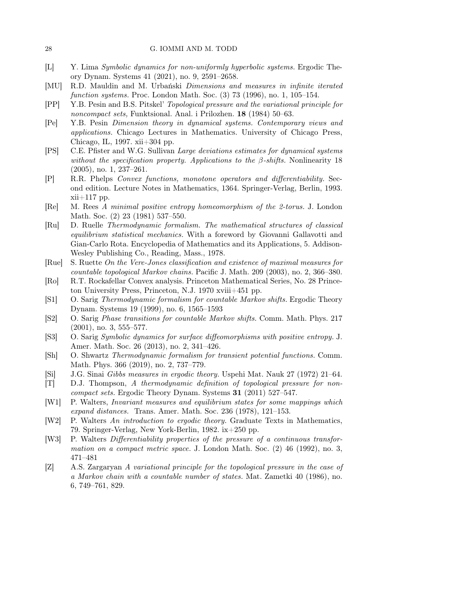- [L] Y. Lima Symbolic dynamics for non-uniformly hyperbolic systems. Ergodic Theory Dynam. Systems 41 (2021), no. 9, 2591–2658.
- [MU] R.D. Mauldin and M. Urbański Dimensions and measures in infinite iterated function systems. Proc. London Math. Soc. (3) 73 (1996), no. 1, 105–154.
- [PP] Y.B. Pesin and B.S. Pitskel' Topological pressure and the variational principle for noncompact sets, Funktsional. Anal. i Prilozhen. 18 (1984) 50–63.
- [Pe] Y.B. Pesin Dimension theory in dynamical systems. Contemporary views and applications. Chicago Lectures in Mathematics. University of Chicago Press, Chicago, IL, 1997. xii+304 pp.
- [PS] C.E. Pfister and W.G. Sullivan Large deviations estimates for dynamical systems without the specification property. Applications to the  $\beta$ -shifts. Nonlinearity 18 (2005), no. 1, 237–261.
- [P] R.R. Phelps Convex functions, monotone operators and differentiability. Second edition. Lecture Notes in Mathematics, 1364. Springer-Verlag, Berlin, 1993. xii+117 pp.
- [Re] M. Rees A minimal positive entropy homeomorphism of the 2-torus. J. London Math. Soc. (2) 23 (1981) 537–550.
- [Ru] D. Ruelle Thermodynamic formalism. The mathematical structures of classical equilibrium statistical mechanics. With a foreword by Giovanni Gallavotti and Gian-Carlo Rota. Encyclopedia of Mathematics and its Applications, 5. Addison-Wesley Publishing Co., Reading, Mass., 1978.
- [Rue] S. Ruette On the Vere-Jones classification and existence of maximal measures for countable topological Markov chains. Pacific J. Math. 209 (2003), no. 2, 366–380.
- [Ro] R.T. Rockafellar Convex analysis. Princeton Mathematical Series, No. 28 Princeton University Press, Princeton, N.J. 1970 xviii+451 pp.
- [S1] O. Sarig Thermodynamic formalism for countable Markov shifts. Ergodic Theory Dynam. Systems 19 (1999), no. 6, 1565–1593
- [S2] O. Sarig Phase transitions for countable Markov shifts. Comm. Math. Phys. 217  $(2001)$ , no. 3, 555–577.
- [S3] O. Sarig Symbolic dynamics for surface diffeomorphisms with positive entropy. J. Amer. Math. Soc. 26 (2013), no. 2, 341–426.
- [Sh] O. Shwartz Thermodynamic formalism for transient potential functions. Comm. Math. Phys. 366 (2019), no. 2, 737–779.
- [Si] J.G. Sinai Gibbs measures in ergodic theory. Uspehi Mat. Nauk 27 (1972) 21–64.
- [T] D.J. Thompson, A thermodynamic definition of topological pressure for noncompact sets. Ergodic Theory Dynam. Systems 31 (2011) 527–547.
- [W1] P. Walters, Invariant measures and equilibrium states for some mappings which expand distances. Trans. Amer. Math. Soc. 236 (1978), 121–153.
- [W2] P. Walters An introduction to ergodic theory. Graduate Texts in Mathematics, 79. Springer-Verlag, New York-Berlin, 1982. ix+250 pp.
- [W3] P. Walters Differentiability properties of the pressure of a continuous transformation on a compact metric space. J. London Math. Soc. (2) 46 (1992), no. 3, 471–481
- [Z] A.S. Zargaryan A variational principle for the topological pressure in the case of a Markov chain with a countable number of states. Mat. Zametki 40 (1986), no. 6, 749–761, 829.